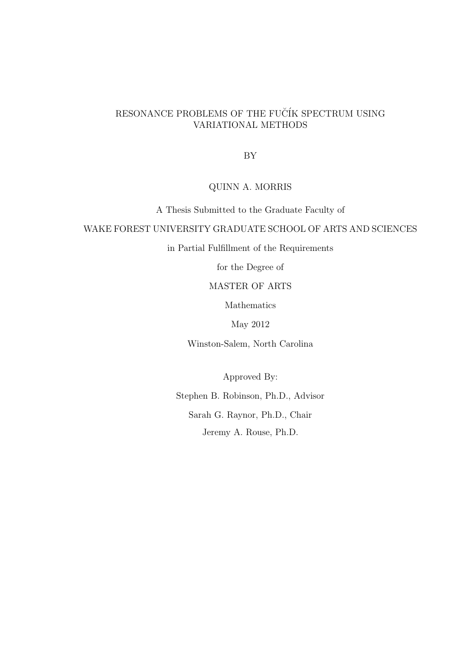# RESONANCE PROBLEMS OF THE FUCIK SPECTRUM USING VARIATIONAL METHODS

BY

## QUINN A. MORRIS

A Thesis Submitted to the Graduate Faculty of

## WAKE FOREST UNIVERSITY GRADUATE SCHOOL OF ARTS AND SCIENCES

in Partial Fulfillment of the Requirements

for the Degree of

## MASTER OF ARTS

Mathematics

May 2012

Winston-Salem, North Carolina

Approved By:

Stephen B. Robinson, Ph.D., Advisor

Sarah G. Raynor, Ph.D., Chair

Jeremy A. Rouse, Ph.D.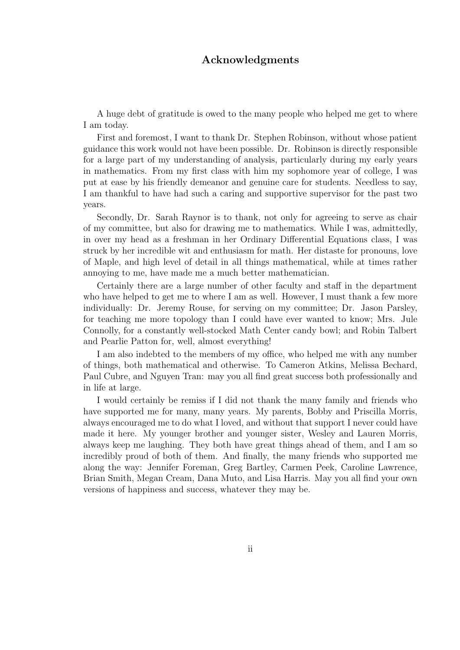# Acknowledgments

A huge debt of gratitude is owed to the many people who helped me get to where I am today.

First and foremost, I want to thank Dr. Stephen Robinson, without whose patient guidance this work would not have been possible. Dr. Robinson is directly responsible for a large part of my understanding of analysis, particularly during my early years in mathematics. From my first class with him my sophomore year of college, I was put at ease by his friendly demeanor and genuine care for students. Needless to say, I am thankful to have had such a caring and supportive supervisor for the past two years.

Secondly, Dr. Sarah Raynor is to thank, not only for agreeing to serve as chair of my committee, but also for drawing me to mathematics. While I was, admittedly, in over my head as a freshman in her Ordinary Differential Equations class, I was struck by her incredible wit and enthusiasm for math. Her distaste for pronouns, love of Maple, and high level of detail in all things mathematical, while at times rather annoying to me, have made me a much better mathematician.

Certainly there are a large number of other faculty and staff in the department who have helped to get me to where I am as well. However, I must thank a few more individually: Dr. Jeremy Rouse, for serving on my committee; Dr. Jason Parsley, for teaching me more topology than I could have ever wanted to know; Mrs. Jule Connolly, for a constantly well-stocked Math Center candy bowl; and Robin Talbert and Pearlie Patton for, well, almost everything!

I am also indebted to the members of my office, who helped me with any number of things, both mathematical and otherwise. To Cameron Atkins, Melissa Bechard, Paul Cubre, and Nguyen Tran: may you all find great success both professionally and in life at large.

I would certainly be remiss if I did not thank the many family and friends who have supported me for many, many years. My parents, Bobby and Priscilla Morris, always encouraged me to do what I loved, and without that support I never could have made it here. My younger brother and younger sister, Wesley and Lauren Morris, always keep me laughing. They both have great things ahead of them, and I am so incredibly proud of both of them. And finally, the many friends who supported me along the way: Jennifer Foreman, Greg Bartley, Carmen Peek, Caroline Lawrence, Brian Smith, Megan Cream, Dana Muto, and Lisa Harris. May you all find your own versions of happiness and success, whatever they may be.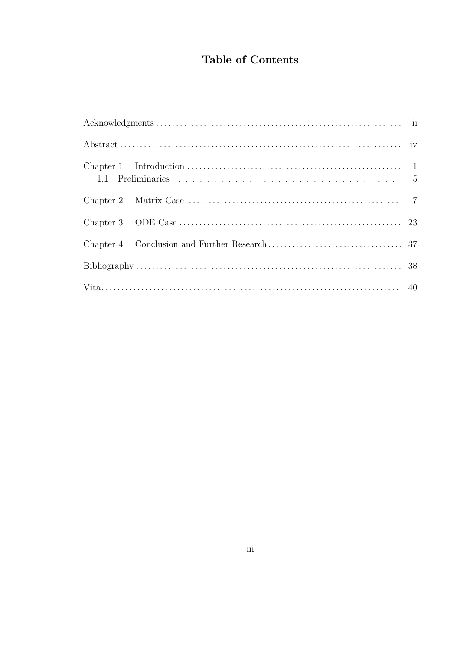# Table of Contents

|  | ${\bf Chapter~1-Introduction~.\dots\dots\dots\dots\dots\dots\dots\dots\dots\dots\dots\dots\dots\dots\dots\dots\qquad 1}$ |  |
|--|--------------------------------------------------------------------------------------------------------------------------|--|
|  |                                                                                                                          |  |
|  |                                                                                                                          |  |
|  |                                                                                                                          |  |
|  |                                                                                                                          |  |
|  |                                                                                                                          |  |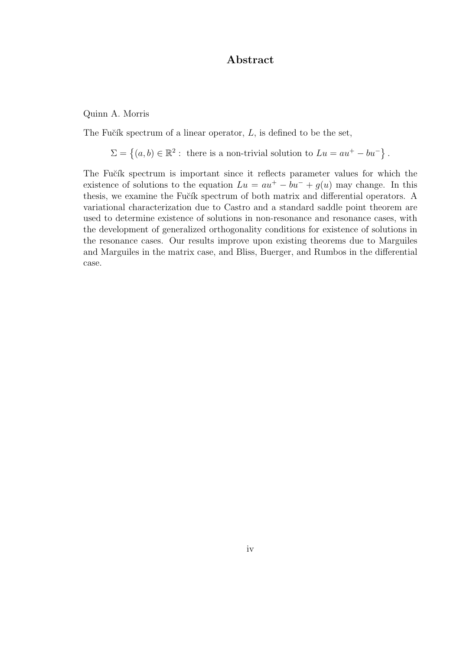# Abstract

Quinn A. Morris

The Fučík spectrum of a linear operator,  $L$ , is defined to be the set,

 $\Sigma = \{(a, b) \in \mathbb{R}^2 : \text{ there is a non-trivial solution to } Lu = au^+ - bu^-\}.$ 

The Fučík spectrum is important since it reflects parameter values for which the existence of solutions to the equation  $Lu = au^+ - bu^- + g(u)$  may change. In this thesis, we examine the Fučík spectrum of both matrix and differential operators. A variational characterization due to Castro and a standard saddle point theorem are used to determine existence of solutions in non-resonance and resonance cases, with the development of generalized orthogonality conditions for existence of solutions in the resonance cases. Our results improve upon existing theorems due to Marguiles and Marguiles in the matrix case, and Bliss, Buerger, and Rumbos in the differential case.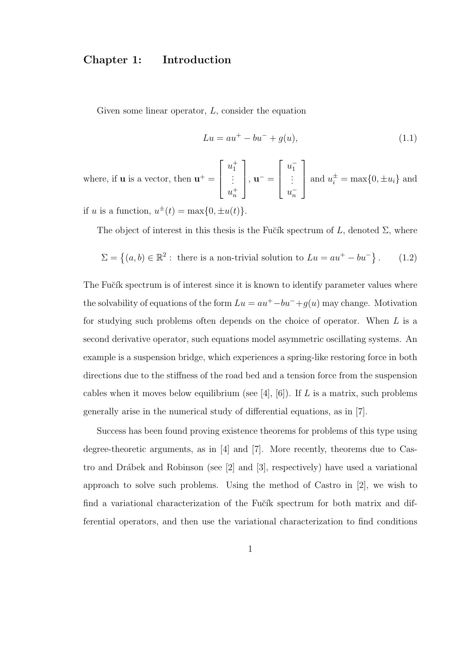# Chapter 1: Introduction

Given some linear operator,  $L$ , consider the equation

$$
Lu = au^{+} - bu^{-} + g(u), \qquad (1.1)
$$

where, if **u** is a vector, then  $\mathbf{u}^+$  =  $\sqrt{ }$  $\overline{\phantom{a}}$  $u_1^+$ <br>:  $u_n^+$ 1  $\Big\vert \, , \, \mathbf{u}^- =$  $\sqrt{ }$  $\overline{\phantom{a}}$  $u_1^-$ <br>:  $u_n^-$ 1  $\overline{\phantom{a}}$ and  $u_i^{\pm} = \max\{0, \pm u_i\}$  and

if u is a function,  $u^{\pm}(t) = \max\{0, \pm u(t)\}.$ 

The object of interest in this thesis is the Fučík spectrum of L, denoted  $\Sigma$ , where

$$
\Sigma = \left\{ (a, b) \in \mathbb{R}^2 : \text{ there is a non-trivial solution to } Lu = au^+ - bu^-\right\}.
$$
 (1.2)

The Fučík spectrum is of interest since it is known to identify parameter values where the solvability of equations of the form  $Lu = au^+ - bu^- + g(u)$  may change. Motivation for studying such problems often depends on the choice of operator. When L is a second derivative operator, such equations model asymmetric oscillating systems. An example is a suspension bridge, which experiences a spring-like restoring force in both directions due to the stiffness of the road bed and a tension force from the suspension cables when it moves below equilibrium (see [4], [6]). If L is a matrix, such problems generally arise in the numerical study of differential equations, as in [7].

Success has been found proving existence theorems for problems of this type using degree-theoretic arguments, as in [4] and [7]. More recently, theorems due to Castro and Drábek and Robinson (see  $[2]$  and  $[3]$ , respectively) have used a variational approach to solve such problems. Using the method of Castro in [2], we wish to find a variational characterization of the Fučík spectrum for both matrix and differential operators, and then use the variational characterization to find conditions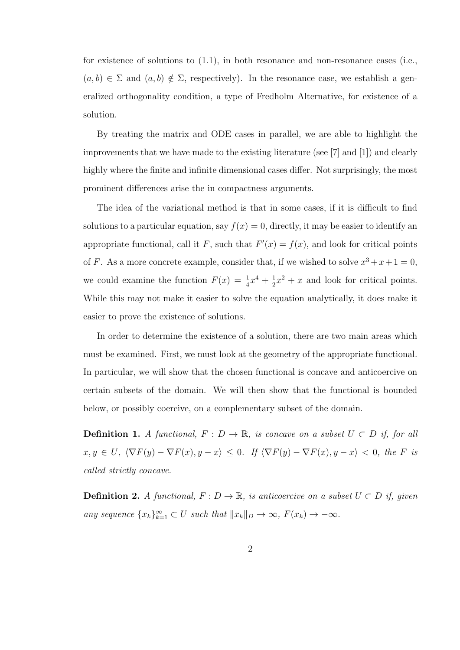for existence of solutions to (1.1), in both resonance and non-resonance cases (i.e.,  $(a, b) \in \Sigma$  and  $(a, b) \notin \Sigma$ , respectively). In the resonance case, we establish a generalized orthogonality condition, a type of Fredholm Alternative, for existence of a solution.

By treating the matrix and ODE cases in parallel, we are able to highlight the improvements that we have made to the existing literature (see [7] and [1]) and clearly highly where the finite and infinite dimensional cases differ. Not surprisingly, the most prominent differences arise the in compactness arguments.

The idea of the variational method is that in some cases, if it is difficult to find solutions to a particular equation, say  $f(x) = 0$ , directly, it may be easier to identify an appropriate functional, call it F, such that  $F'(x) = f(x)$ , and look for critical points of F. As a more concrete example, consider that, if we wished to solve  $x^3 + x + 1 = 0$ , we could examine the function  $F(x) = \frac{1}{4}x^4 + \frac{1}{2}$  $\frac{1}{2}x^2 + x$  and look for critical points. While this may not make it easier to solve the equation analytically, it does make it easier to prove the existence of solutions.

In order to determine the existence of a solution, there are two main areas which must be examined. First, we must look at the geometry of the appropriate functional. In particular, we will show that the chosen functional is concave and anticoercive on certain subsets of the domain. We will then show that the functional is bounded below, or possibly coercive, on a complementary subset of the domain.

**Definition 1.** A functional,  $F: D \to \mathbb{R}$ , is concave on a subset  $U \subset D$  if, for all  $x, y \in U$ ,  $\langle \nabla F(y) - \nabla F(x), y - x \rangle \leq 0$ . If  $\langle \nabla F(y) - \nabla F(x), y - x \rangle < 0$ , the F is called strictly concave.

**Definition 2.** A functional,  $F: D \to \mathbb{R}$ , is anticoercive on a subset  $U \subset D$  if, given any sequence  $\{x_k\}_{k=1}^{\infty} \subset U$  such that  $||x_k||_D \to \infty$ ,  $F(x_k) \to -\infty$ .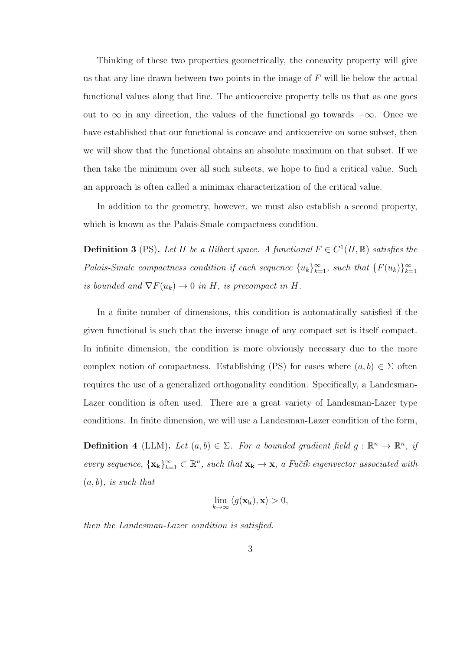Thinking of these two properties geometrically, the concavity property will give us that any line drawn between two points in the image of F will lie below the actual functional values along that line. The anticoercive property tells us that as one goes out to  $\infty$  in any direction, the values of the functional go towards  $-\infty$ . Once we have established that our functional is concave and anticoercive on some subset, then we will show that the functional obtains an absolute maximum on that subset. If we then take the minimum over all such subsets, we hope to find a critical value. Such an approach is often called a minimax characterization of the critical value.

In addition to the geometry, however, we must also establish a second property, which is known as the Palais-Smale compactness condition.

**Definition 3** (PS). Let H be a Hilbert space. A functional  $F \in C^1(H, \mathbb{R})$  satisfies the Palais-Smale compactness condition if each sequence  $\{u_k\}_{k=1}^{\infty}$ , such that  $\{F(u_k)\}_{k=1}^{\infty}$ is bounded and  $\nabla F(u_k) \to 0$  in H, is precompact in H.

In a finite number of dimensions, this condition is automatically satisfied if the given functional is such that the inverse image of any compact set is itself compact. In infinite dimension, the condition is more obviously necessary due to the more complex notion of compactness. Establishing (PS) for cases where  $(a, b) \in \Sigma$  often requires the use of a generalized orthogonality condition. Specifically, a Landesman-Lazer condition is often used. There are a great variety of Landesman-Lazer type conditions. In finite dimension, we will use a Landesman-Lazer condition of the form,

**Definition 4** (LLM). Let  $(a, b) \in \Sigma$ . For a bounded gradient field  $g : \mathbb{R}^n \to \mathbb{R}^n$ , if every sequence,  $\{x_k\}_{k=1}^{\infty} \subset \mathbb{R}^n$ , such that  $x_k \to x$ , a Fučík eigenvector associated with  $(a, b)$ , is such that

$$
\lim_{k \to \infty} \langle g(\mathbf{x_k}), \mathbf{x} \rangle > 0,
$$

then the Landesman-Lazer condition is satisfied.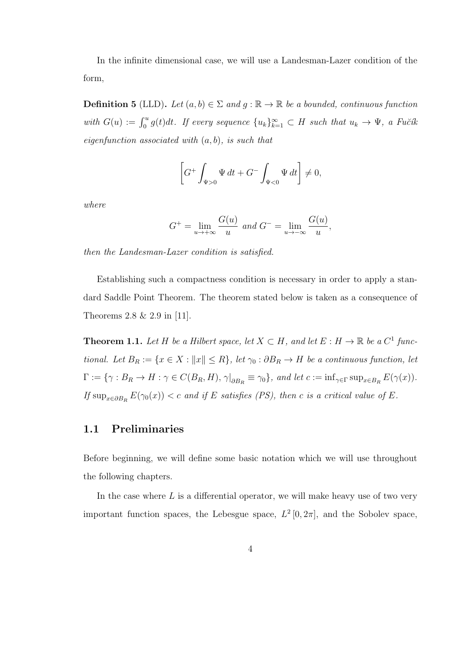In the infinite dimensional case, we will use a Landesman-Lazer condition of the form,

**Definition 5** (LLD). Let  $(a, b) \in \Sigma$  and  $g : \mathbb{R} \to \mathbb{R}$  be a bounded, continuous function with  $G(u) := \int_0^u g(t)dt$ . If every sequence  $\{u_k\}_{k=1}^\infty \subset H$  such that  $u_k \to \Psi$ , a Fučík eigenfunction associated with  $(a, b)$ , is such that

$$
\[G^+\int_{\Psi>0}\Psi\,dt + G^-\int_{\Psi<0}\Psi\,dt\]\neq 0,
$$

where

$$
G^{+} = \lim_{u \to +\infty} \frac{G(u)}{u} \text{ and } G^{-} = \lim_{u \to -\infty} \frac{G(u)}{u},
$$

then the Landesman-Lazer condition is satisfied.

Establishing such a compactness condition is necessary in order to apply a standard Saddle Point Theorem. The theorem stated below is taken as a consequence of Theorems 2.8 & 2.9 in [11].

**Theorem 1.1.** Let H be a Hilbert space, let  $X \subset H$ , and let  $E : H \to \mathbb{R}$  be a  $C^1$  functional. Let  $B_R := \{x \in X : ||x|| \le R\}$ , let  $\gamma_0 : \partial B_R \to H$  be a continuous function, let  $\Gamma := \{ \gamma : B_R \to H : \gamma \in C(B_R, H), \gamma \vert_{\partial B_R} \equiv \gamma_0 \}$ , and let  $c := \inf_{\gamma \in \Gamma} \sup_{x \in B_R} E(\gamma(x)).$ If  $\sup_{x \in \partial B_R} E(\gamma_0(x)) < c$  and if E satisfies (PS), then c is a critical value of E.

## 1.1 Preliminaries

Before beginning, we will define some basic notation which we will use throughout the following chapters.

In the case where  $L$  is a differential operator, we will make heavy use of two very important function spaces, the Lebesgue space,  $L^2[0,2\pi]$ , and the Sobolev space,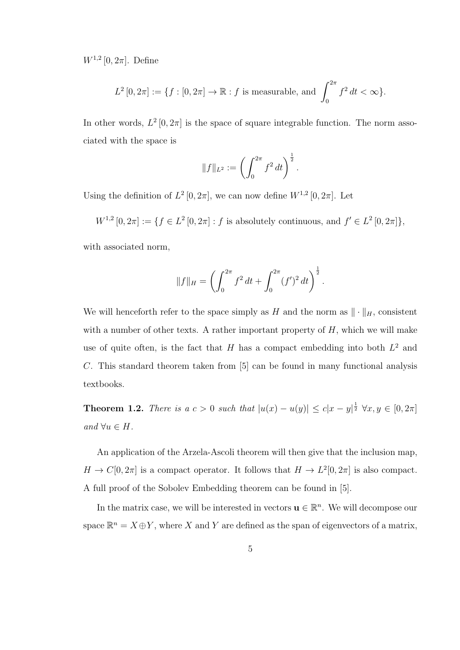$W^{1,2}[0, 2\pi]$ . Define

$$
L^{2}[0, 2\pi] := \{ f : [0, 2\pi] \to \mathbb{R} : f \text{ is measurable, and } \int_{0}^{2\pi} f^{2} dt < \infty \}.
$$

In other words,  $L^2[0, 2\pi]$  is the space of square integrable function. The norm associated with the space is

$$
||f||_{L^2} := \left(\int_0^{2\pi} f^2 dt\right)^{\frac{1}{2}}.
$$

Using the definition of  $L^2[0, 2\pi]$ , we can now define  $W^{1,2}[0, 2\pi]$ . Let

 $W^{1,2}[0, 2\pi] := \{ f \in L^2[0, 2\pi] : f \text{ is absolutely continuous, and } f' \in L^2[0, 2\pi] \},\$ with associated norm,

$$
||f||_{H} = \left(\int_0^{2\pi} f^2 dt + \int_0^{2\pi} (f')^2 dt\right)^{\frac{1}{2}}.
$$

We will henceforth refer to the space simply as H and the norm as  $\|\cdot\|_H$ , consistent with a number of other texts. A rather important property of  $H$ , which we will make use of quite often, is the fact that H has a compact embedding into both  $L^2$  and C. This standard theorem taken from [5] can be found in many functional analysis textbooks.

**Theorem 1.2.** There is a  $c > 0$  such that  $|u(x) - u(y)| \leq c|x - y|^{\frac{1}{2}} \forall x, y \in [0, 2\pi]$ and  $\forall u \in H$ .

An application of the Arzela-Ascoli theorem will then give that the inclusion map,  $H \to C[0, 2\pi]$  is a compact operator. It follows that  $H \to L^2[0, 2\pi]$  is also compact. A full proof of the Sobolev Embedding theorem can be found in [5].

In the matrix case, we will be interested in vectors  $\mathbf{u} \in \mathbb{R}^n$ . We will decompose our space  $\mathbb{R}^n = X \oplus Y$ , where X and Y are defined as the span of eigenvectors of a matrix,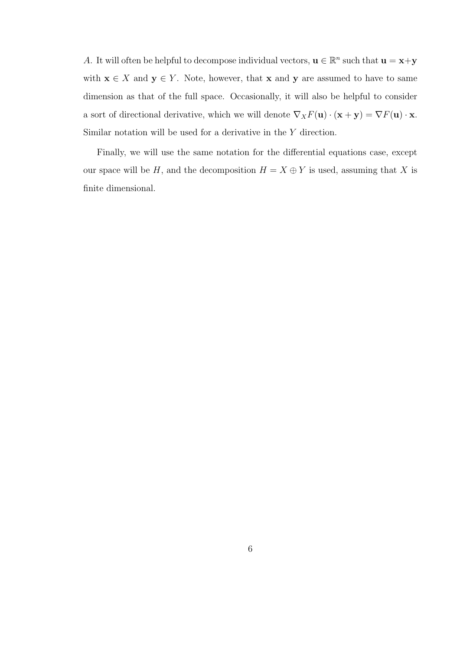A. It will often be helpful to decompose individual vectors,  $\mathbf{u} \in \mathbb{R}^n$  such that  $\mathbf{u} = \mathbf{x} + \mathbf{y}$ with  $\mathbf{x} \in X$  and  $\mathbf{y} \in Y$ . Note, however, that  $\mathbf{x}$  and  $\mathbf{y}$  are assumed to have to same dimension as that of the full space. Occasionally, it will also be helpful to consider a sort of directional derivative, which we will denote  $\nabla_X F(\mathbf{u}) \cdot (\mathbf{x} + \mathbf{y}) = \nabla F(\mathbf{u}) \cdot \mathbf{x}$ . Similar notation will be used for a derivative in the Y direction.

Finally, we will use the same notation for the differential equations case, except our space will be H, and the decomposition  $H = X \oplus Y$  is used, assuming that X is finite dimensional.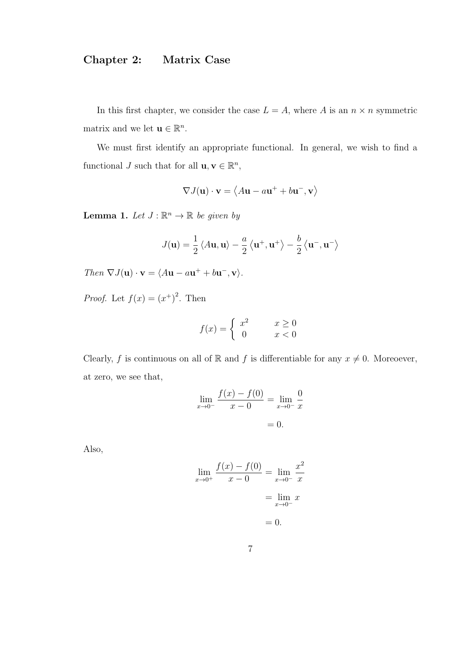# Chapter 2: Matrix Case

In this first chapter, we consider the case  $L = A$ , where A is an  $n \times n$  symmetric matrix and we let  $\mathbf{u} \in \mathbb{R}^n$ .

We must first identify an appropriate functional. In general, we wish to find a functional J such that for all  $\mathbf{u}, \mathbf{v} \in \mathbb{R}^n$ ,

$$
\nabla J(\mathbf{u}) \cdot \mathbf{v} = \langle A\mathbf{u} - a\mathbf{u}^+ + b\mathbf{u}^-, \mathbf{v} \rangle
$$

**Lemma 1.** Let  $J : \mathbb{R}^n \to \mathbb{R}$  be given by

$$
J(\mathbf{u}) = \frac{1}{2} \langle A\mathbf{u}, \mathbf{u} \rangle - \frac{a}{2} \langle \mathbf{u}^+, \mathbf{u}^+ \rangle - \frac{b}{2} \langle \mathbf{u}^-, \mathbf{u}^- \rangle
$$

Then  $\nabla J(\mathbf{u}) \cdot \mathbf{v} = \langle A\mathbf{u} - a\mathbf{u}^+ + b\mathbf{u}^-, \mathbf{v} \rangle$ .

*Proof.* Let  $f(x) = (x^+)^2$ . Then

$$
f(x) = \begin{cases} x^2 & x \ge 0\\ 0 & x < 0 \end{cases}
$$

Clearly, f is continuous on all of R and f is differentiable for any  $x \neq 0$ . Moreoever, at zero, we see that,

$$
\lim_{x \to 0^{-}} \frac{f(x) - f(0)}{x - 0} = \lim_{x \to 0^{-}} \frac{0}{x}
$$

$$
= 0.
$$

Also,

$$
\lim_{x \to 0^{+}} \frac{f(x) - f(0)}{x - 0} = \lim_{x \to 0^{-}} \frac{x^{2}}{x}
$$

$$
= \lim_{x \to 0^{-}} x
$$

$$
= 0.
$$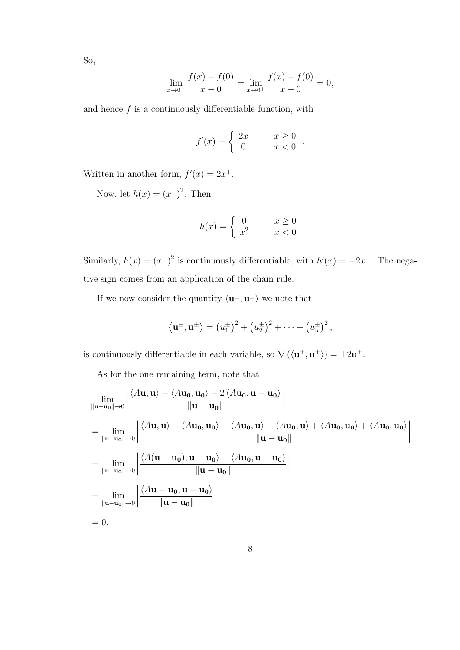So,

$$
\lim_{x \to 0^{-}} \frac{f(x) - f(0)}{x - 0} = \lim_{x \to 0^{+}} \frac{f(x) - f(0)}{x - 0} = 0,
$$

and hence  $f$  is a continuously differentiable function, with

$$
f'(x) = \begin{cases} 2x & x \ge 0 \\ 0 & x < 0 \end{cases}.
$$

Written in another form,  $f'(x) = 2x^+$ .

Now, let  $h(x) = (x^-)^2$ . Then

$$
h(x) = \begin{cases} 0 & x \ge 0\\ x^2 & x < 0 \end{cases}
$$

Similarly,  $h(x) = (x^{-})^2$  is continuously differentiable, with  $h'(x) = -2x^{-}$ . The negative sign comes from an application of the chain rule.

If we now consider the quantity  $\langle u^{\pm}, u^{\pm} \rangle$  we note that

$$
\langle \mathbf{u}^{\pm}, \mathbf{u}^{\pm} \rangle = (u_1^{\pm})^2 + (u_2^{\pm})^2 + \cdots + (u_n^{\pm})^2,
$$

is continuously differentiable in each variable, so  $\nabla (\langle \mathbf{u}^{\pm}, \mathbf{u}^{\pm} \rangle) = \pm 2 \mathbf{u}^{\pm}$ .

As for the one remaining term, note that

$$
\lim_{\|\mathbf{u}-\mathbf{u}_{0}\|\to 0} \left| \frac{\langle A\mathbf{u}, \mathbf{u}\rangle - \langle A\mathbf{u}_{0}, \mathbf{u}_{0}\rangle - 2 \langle A\mathbf{u}_{0}, \mathbf{u} - \mathbf{u}_{0}\rangle}{\|\mathbf{u}-\mathbf{u}_{0}\|} \right|
$$
\n
$$
= \lim_{\|\mathbf{u}-\mathbf{u}_{0}\|\to 0} \left| \frac{\langle A\mathbf{u}, \mathbf{u}\rangle - \langle A\mathbf{u}_{0}, \mathbf{u}_{0}\rangle - \langle A\mathbf{u}_{0}, \mathbf{u}\rangle - \langle A\mathbf{u}_{0}, \mathbf{u}\rangle + \langle A\mathbf{u}_{0}, \mathbf{u}_{0}\rangle + \langle A\mathbf{u}_{0}, \mathbf{u}_{0}\rangle}{\|\mathbf{u}-\mathbf{u}_{0}\|} \right|
$$
\n
$$
= \lim_{\|\mathbf{u}-\mathbf{u}_{0}\|\to 0} \left| \frac{\langle A(\mathbf{u}-\mathbf{u}_{0}), \mathbf{u}-\mathbf{u}_{0}\rangle - \langle A\mathbf{u}_{0}, \mathbf{u}-\mathbf{u}_{0}\rangle}{\|\mathbf{u}-\mathbf{u}_{0}\|} \right|
$$
\n
$$
= \lim_{\|\mathbf{u}-\mathbf{u}_{0}\|\to 0} \left| \frac{\langle A\mathbf{u}-\mathbf{u}_{0}, \mathbf{u}-\mathbf{u}_{0}\rangle}{\|\mathbf{u}-\mathbf{u}_{0}\|} \right|
$$
\n
$$
= 0.
$$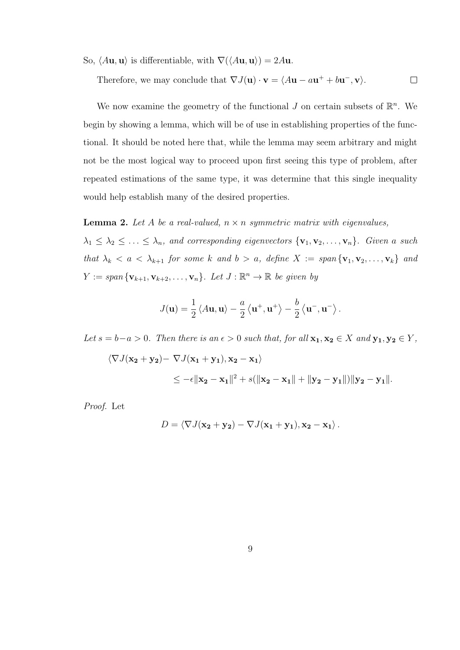So,  $\langle A\mathbf{u}, \mathbf{u} \rangle$  is differentiable, with  $\nabla(\langle A\mathbf{u}, \mathbf{u} \rangle) = 2A\mathbf{u}$ .

Therefore, we may conclude that  $\nabla J(\mathbf{u}) \cdot \mathbf{v} = \langle A\mathbf{u} - a\mathbf{u}^+ + b\mathbf{u}^-,\mathbf{v} \rangle$ .  $\Box$ 

We now examine the geometry of the functional  $J$  on certain subsets of  $\mathbb{R}^n$ . We begin by showing a lemma, which will be of use in establishing properties of the functional. It should be noted here that, while the lemma may seem arbitrary and might not be the most logical way to proceed upon first seeing this type of problem, after repeated estimations of the same type, it was determine that this single inequality would help establish many of the desired properties.

#### **Lemma 2.** Let A be a real-valued,  $n \times n$  symmetric matrix with eigenvalues,

 $\lambda_1 \leq \lambda_2 \leq \ldots \leq \lambda_n$ , and corresponding eigenvectors  $\{v_1, v_2, \ldots, v_n\}$ . Given a such that  $\lambda_k < a < \lambda_{k+1}$  for some k and  $b > a$ , define  $X := span{\lbrace \mathbf{v}_1, \mathbf{v}_2, \dots, \mathbf{v}_k \rbrace}$  and  $Y := span \{ \mathbf{v}_{k+1}, \mathbf{v}_{k+2}, \ldots, \mathbf{v}_n \}.$  Let  $J : \mathbb{R}^n \to \mathbb{R}$  be given by

$$
J(\mathbf{u}) = \frac{1}{2} \left\langle A\mathbf{u}, \mathbf{u} \right\rangle - \frac{a}{2} \left\langle \mathbf{u}^+, \mathbf{u}^+ \right\rangle - \frac{b}{2} \left\langle \mathbf{u}^-, \mathbf{u}^- \right\rangle.
$$

Let  $s = b-a > 0$ . Then there is an  $\epsilon > 0$  such that, for all  $x_1, x_2 \in X$  and  $y_1, y_2 \in Y$ ,

$$
\langle \nabla J(\mathbf{x_2} + \mathbf{y_2}) - \nabla J(\mathbf{x_1} + \mathbf{y_1}), \mathbf{x_2} - \mathbf{x_1} \rangle
$$
  
 
$$
\leq -\epsilon \|\mathbf{x_2} - \mathbf{x_1}\|^2 + s(\|\mathbf{x_2} - \mathbf{x_1}\| + \|\mathbf{y_2} - \mathbf{y_1}\|) \|\mathbf{y_2} - \mathbf{y_1}\|.
$$

Proof. Let

$$
D = \langle \nabla J(\mathbf{x_2} + \mathbf{y_2}) - \nabla J(\mathbf{x_1} + \mathbf{y_1}), \mathbf{x_2} - \mathbf{x_1} \rangle.
$$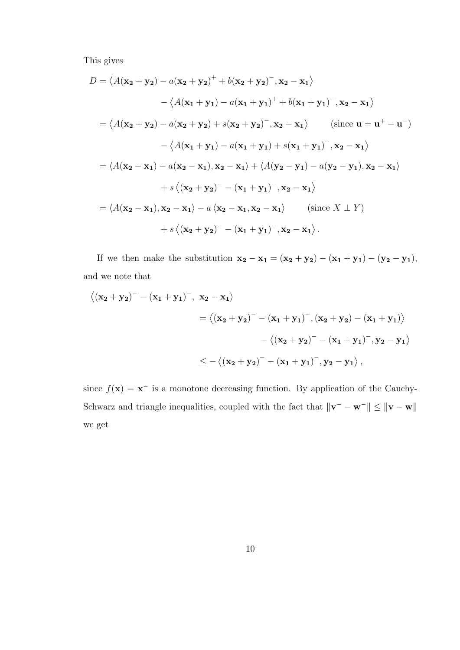This gives

$$
D = \langle A(\mathbf{x_2} + \mathbf{y_2}) - a(\mathbf{x_2} + \mathbf{y_2})^+ + b(\mathbf{x_2} + \mathbf{y_2})^-, \mathbf{x_2} - \mathbf{x_1} \rangle
$$
  
\n
$$
- \langle A(\mathbf{x_1} + \mathbf{y_1}) - a(\mathbf{x_1} + \mathbf{y_1})^+ + b(\mathbf{x_1} + \mathbf{y_1})^-, \mathbf{x_2} - \mathbf{x_1} \rangle
$$
  
\n
$$
= \langle A(\mathbf{x_2} + \mathbf{y_2}) - a(\mathbf{x_2} + \mathbf{y_2}) + s(\mathbf{x_2} + \mathbf{y_2})^-, \mathbf{x_2} - \mathbf{x_1} \rangle \qquad \text{(since } \mathbf{u} = \mathbf{u}^+ - \mathbf{u}^-)
$$
  
\n
$$
- \langle A(\mathbf{x_1} + \mathbf{y_1}) - a(\mathbf{x_1} + \mathbf{y_1}) + s(\mathbf{x_1} + \mathbf{y_1})^-, \mathbf{x_2} - \mathbf{x_1} \rangle
$$
  
\n
$$
= \langle A(\mathbf{x_2} - \mathbf{x_1}) - a(\mathbf{x_2} - \mathbf{x_1}), \mathbf{x_2} - \mathbf{x_1} \rangle + \langle A(\mathbf{y_2} - \mathbf{y_1}) - a(\mathbf{y_2} - \mathbf{y_1}), \mathbf{x_2} - \mathbf{x_1} \rangle
$$
  
\n
$$
+ s \langle (\mathbf{x_2} + \mathbf{y_2})^- - (\mathbf{x_1} + \mathbf{y_1})^-, \mathbf{x_2} - \mathbf{x_1} \rangle \qquad \text{(since } X \perp Y)
$$
  
\n
$$
+ s \langle (\mathbf{x_2} + \mathbf{y_2})^- - (\mathbf{x_1} + \mathbf{y_1})^-, \mathbf{x_2} - \mathbf{x_1} \rangle.
$$

If we then make the substitution  $\mathbf{x_2} - \mathbf{x_1} = (\mathbf{x_2} + \mathbf{y_2}) - (\mathbf{x_1} + \mathbf{y_1}) - (\mathbf{y_2} - \mathbf{y_1}),$ and we note that

$$
\begin{aligned} \left\langle (x_2 + y_2)^- - (x_1 + y_1)^-, \ x_2 - x_1 \right\rangle \\ & = \left\langle (x_2 + y_2)^- - (x_1 + y_1)^-, (x_2 + y_2) - (x_1 + y_1) \right\rangle \\ & - \left\langle (x_2 + y_2)^- - (x_1 + y_1)^-, y_2 - y_1 \right\rangle \\ & \leq - \left\langle (x_2 + y_2)^- - (x_1 + y_1)^-, y_2 - y_1 \right\rangle, \end{aligned}
$$

since  $f(\mathbf{x}) = \mathbf{x}^-$  is a monotone decreasing function. By application of the Cauchy-Schwarz and triangle inequalities, coupled with the fact that  $\|\mathbf{v} - \mathbf{w}^-\| \leq \|\mathbf{v} - \mathbf{w}\|$ we get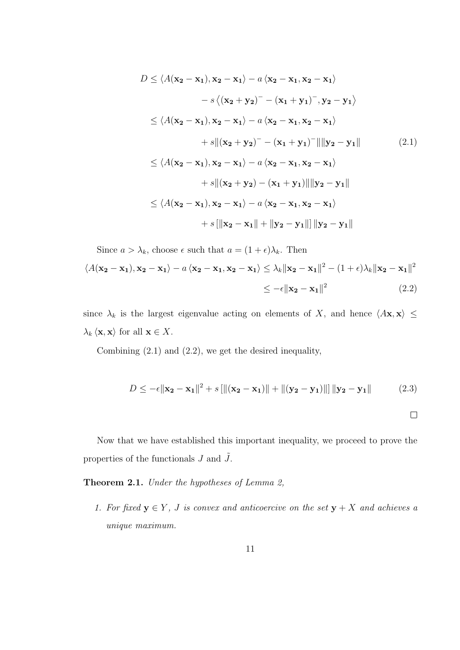$$
D \le \langle A(\mathbf{x_2} - \mathbf{x_1}), \mathbf{x_2} - \mathbf{x_1} \rangle - a \langle \mathbf{x_2} - \mathbf{x_1}, \mathbf{x_2} - \mathbf{x_1} \rangle
$$
  
\n
$$
- s \langle (\mathbf{x_2} + \mathbf{y_2})^- - (\mathbf{x_1} + \mathbf{y_1})^-, \mathbf{y_2} - \mathbf{y_1} \rangle
$$
  
\n
$$
\le \langle A(\mathbf{x_2} - \mathbf{x_1}), \mathbf{x_2} - \mathbf{x_1} \rangle - a \langle \mathbf{x_2} - \mathbf{x_1}, \mathbf{x_2} - \mathbf{x_1} \rangle
$$
  
\n
$$
+ s \| (\mathbf{x_2} + \mathbf{y_2})^- - (\mathbf{x_1} + \mathbf{y_1})^- \| \| \mathbf{y_2} - \mathbf{y_1} \|
$$
  
\n
$$
\le \langle A(\mathbf{x_2} - \mathbf{x_1}), \mathbf{x_2} - \mathbf{x_1} \rangle - a \langle \mathbf{x_2} - \mathbf{x_1}, \mathbf{x_2} - \mathbf{x_1} \rangle
$$
  
\n
$$
+ s \| (\mathbf{x_2} + \mathbf{y_2}) - (\mathbf{x_1} + \mathbf{y_1}) \| \| \mathbf{y_2} - \mathbf{y_1} \|
$$
  
\n
$$
\le \langle A(\mathbf{x_2} - \mathbf{x_1}), \mathbf{x_2} - \mathbf{x_1} \rangle - a \langle \mathbf{x_2} - \mathbf{x_1}, \mathbf{x_2} - \mathbf{x_1} \rangle
$$
  
\n
$$
+ s \| \mathbf{x_2} - \mathbf{x_1} \| + \| \mathbf{y_2} - \mathbf{y_1} \| \| \mathbf{y_2} - \mathbf{y_1} \|
$$

Since 
$$
a > \lambda_k
$$
, choose  $\epsilon$  such that  $a = (1 + \epsilon)\lambda_k$ . Then  
\n
$$
\langle A(\mathbf{x_2} - \mathbf{x_1}), \mathbf{x_2} - \mathbf{x_1} \rangle - a \langle \mathbf{x_2} - \mathbf{x_1}, \mathbf{x_2} - \mathbf{x_1} \rangle \le \lambda_k ||\mathbf{x_2} - \mathbf{x_1}||^2 - (1 + \epsilon)\lambda_k ||\mathbf{x_2} - \mathbf{x_1}||^2
$$
\n
$$
\le -\epsilon ||\mathbf{x_2} - \mathbf{x_1}||^2 \qquad (2.2)
$$

since  $\lambda_k$  is the largest eigenvalue acting on elements of X, and hence  $\langle A\mathbf{x}, \mathbf{x} \rangle \leq$  $\lambda_k \langle \mathbf{x}, \mathbf{x} \rangle$  for all  $\mathbf{x} \in X$ .

Combining (2.1) and (2.2), we get the desired inequality,

$$
D \le -\epsilon ||\mathbf{x}_2 - \mathbf{x}_1||^2 + s [||(\mathbf{x}_2 - \mathbf{x}_1)|| + ||(\mathbf{y}_2 - \mathbf{y}_1)||] ||\mathbf{y}_2 - \mathbf{y}_1||
$$
 (2.3)

 $\Box$ 

Now that we have established this important inequality, we proceed to prove the properties of the functionals  $J$  and  $\tilde{J}$ .

Theorem 2.1. Under the hypotheses of Lemma 2,

1. For fixed  $y \in Y$ , J is convex and anticoercive on the set  $y + X$  and achieves a unique maximum.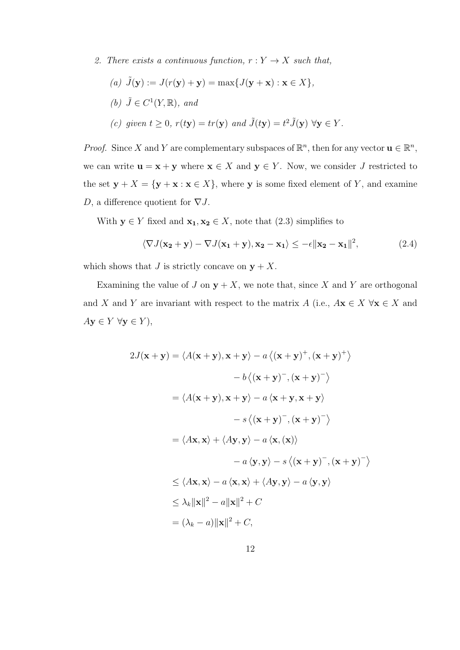2. There exists a continuous function,  $r: Y \to X$  such that,

\n- (a) 
$$
\tilde{J}(\mathbf{y}) := J(r(\mathbf{y}) + \mathbf{y}) = \max\{J(\mathbf{y} + \mathbf{x}) : \mathbf{x} \in X\},
$$
\n- (b)  $\tilde{J} \in C^1(Y, \mathbb{R}),$  and
\n- (c) given  $t \geq 0$ ,  $r(t\mathbf{y}) = tr(\mathbf{y})$  and  $\tilde{J}(t\mathbf{y}) = t^2 \tilde{J}(\mathbf{y}) \,\forall \mathbf{y} \in Y$ .
\n

*Proof.* Since X and Y are complementary subspaces of  $\mathbb{R}^n$ , then for any vector  $\mathbf{u} \in \mathbb{R}^n$ , we can write  $\mathbf{u} = \mathbf{x} + \mathbf{y}$  where  $\mathbf{x} \in X$  and  $\mathbf{y} \in Y$ . Now, we consider J restricted to the set  $\mathbf{y} + X = {\mathbf{y} + \mathbf{x} : \mathbf{x} \in X}$ , where y is some fixed element of Y, and examine D, a difference quotient for  $\nabla J$ .

With  $y \in Y$  fixed and  $x_1, x_2 \in X$ , note that  $(2.3)$  simplifies to

$$
\langle \nabla J(\mathbf{x_2} + \mathbf{y}) - \nabla J(\mathbf{x_1} + \mathbf{y}), \mathbf{x_2} - \mathbf{x_1} \rangle \le -\epsilon \|\mathbf{x_2} - \mathbf{x_1}\|^2,
$$
 (2.4)

which shows that J is strictly concave on  $y + X$ .

Examining the value of J on  $y + X$ , we note that, since X and Y are orthogonal and X and Y are invariant with respect to the matrix  $A$  (i.e.,  $A\mathbf{x} \in X \forall \mathbf{x} \in X$  and  $A\mathbf{y} \in Y \ \forall \mathbf{y} \in Y),$ 

$$
2J(\mathbf{x} + \mathbf{y}) = \langle A(\mathbf{x} + \mathbf{y}), \mathbf{x} + \mathbf{y} \rangle - a \langle (\mathbf{x} + \mathbf{y})^+, (\mathbf{x} + \mathbf{y})^+ \rangle
$$
  
\n
$$
- b \langle (\mathbf{x} + \mathbf{y}), (\mathbf{x} + \mathbf{y})^- \rangle
$$
  
\n
$$
= \langle A(\mathbf{x} + \mathbf{y}), \mathbf{x} + \mathbf{y} \rangle - a \langle \mathbf{x} + \mathbf{y}, \mathbf{x} + \mathbf{y} \rangle
$$
  
\n
$$
- s \langle (\mathbf{x} + \mathbf{y})^-, (\mathbf{x} + \mathbf{y})^- \rangle
$$
  
\n
$$
= \langle A\mathbf{x}, \mathbf{x} \rangle + \langle A\mathbf{y}, \mathbf{y} \rangle - a \langle \mathbf{x}, (\mathbf{x}) \rangle
$$
  
\n
$$
- a \langle \mathbf{y}, \mathbf{y} \rangle - s \langle (\mathbf{x} + \mathbf{y})^-, (\mathbf{x} + \mathbf{y})^- \rangle
$$
  
\n
$$
\leq \langle A\mathbf{x}, \mathbf{x} \rangle - a \langle \mathbf{x}, \mathbf{x} \rangle + \langle A\mathbf{y}, \mathbf{y} \rangle - a \langle \mathbf{y}, \mathbf{y} \rangle
$$
  
\n
$$
\leq \lambda_k ||\mathbf{x}||^2 - a||\mathbf{x}||^2 + C
$$
  
\n
$$
= (\lambda_k - a) ||\mathbf{x}||^2 + C,
$$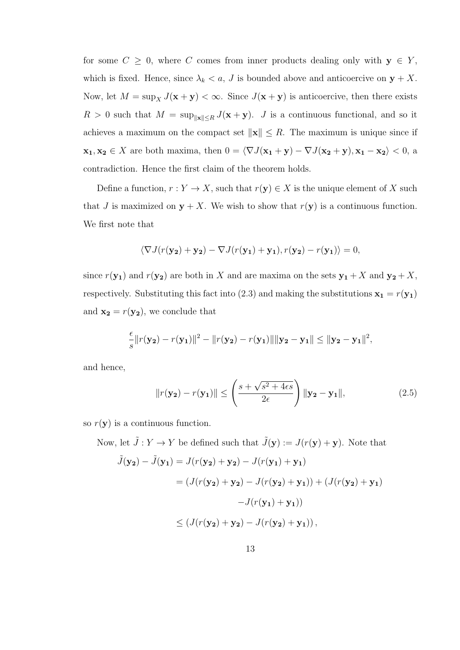for some  $C \geq 0$ , where C comes from inner products dealing only with  $y \in Y$ , which is fixed. Hence, since  $\lambda_k < a$ , J is bounded above and anticoercive on  $y + X$ . Now, let  $M = \sup_X J(\mathbf{x} + \mathbf{y}) < \infty$ . Since  $J(\mathbf{x} + \mathbf{y})$  is anticoercive, then there exists  $R > 0$  such that  $M = \sup_{\|\mathbf{x}\| \leq R} J(\mathbf{x} + \mathbf{y})$ . J is a continuous functional, and so it achieves a maximum on the compact set  $\|\mathbf{x}\| \leq R$ . The maximum is unique since if  $\mathbf{x_1}, \mathbf{x_2} \in X$  are both maxima, then  $0 = \langle \nabla J(\mathbf{x_1} + \mathbf{y}) - \nabla J(\mathbf{x_2} + \mathbf{y}), \mathbf{x_1} - \mathbf{x_2} \rangle < 0$ , a contradiction. Hence the first claim of the theorem holds.

Define a function,  $r: Y \to X$ , such that  $r(\mathbf{y}) \in X$  is the unique element of X such that J is maximized on  $y + X$ . We wish to show that  $r(y)$  is a continuous function. We first note that

$$
\langle \nabla J(r(\mathbf{y_2}) + \mathbf{y_2}) - \nabla J(r(\mathbf{y_1}) + \mathbf{y_1}), r(\mathbf{y_2}) - r(\mathbf{y_1}) \rangle = 0,
$$

since  $r(\mathbf{y_1})$  and  $r(\mathbf{y_2})$  are both in X and are maxima on the sets  $\mathbf{y_1} + X$  and  $\mathbf{y_2} + X$ , respectively. Substituting this fact into (2.3) and making the substitutions  $\mathbf{x}_1 = r(\mathbf{y}_1)$ and  $\mathbf{x_2} = r(\mathbf{y_2})$ , we conclude that

$$
\frac{\epsilon}{s}||r(\mathbf{y_2}) - r(\mathbf{y_1})||^2 - ||r(\mathbf{y_2}) - r(\mathbf{y_1})|| ||\mathbf{y_2} - \mathbf{y_1}|| \le ||\mathbf{y_2} - \mathbf{y_1}||^2,
$$

and hence,

$$
||r(\mathbf{y_2}) - r(\mathbf{y_1})|| \le \left(\frac{s + \sqrt{s^2 + 4\epsilon s}}{2\epsilon}\right) ||\mathbf{y_2} - \mathbf{y_1}||, \tag{2.5}
$$

so  $r(\mathbf{y})$  is a continuous function.

Now, let  $\tilde{J}: Y \to Y$  be defined such that  $\tilde{J}(\mathbf{y}) := J(r(\mathbf{y}) + \mathbf{y})$ . Note that  $\tilde{J}(\mathbf{y_2}) - \tilde{J}(\mathbf{y_1}) = J(r(\mathbf{y_2}) + \mathbf{y_2}) - J(r(\mathbf{y_1}) + \mathbf{y_1})$  $= (J(r(v_2) + v_2) - J(r(v_2) + v_1)) + (J(r(v_2) + v_1))$  $-J(r({\bf y}_1)+{\bf y}_1))$  $\leq (J(r(y_2) + y_2) - J(r(y_2) + y_1)),$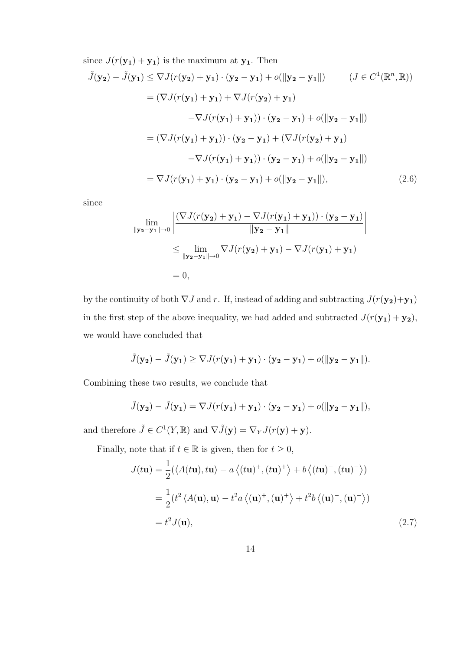since 
$$
J(r(\mathbf{y_1}) + \mathbf{y_1})
$$
 is the maximum at  $\mathbf{y_1}$ . Then  
\n
$$
\tilde{J}(\mathbf{y_2}) - \tilde{J}(\mathbf{y_1}) \leq \nabla J(r(\mathbf{y_2}) + \mathbf{y_1}) \cdot (\mathbf{y_2} - \mathbf{y_1}) + o(||\mathbf{y_2} - \mathbf{y_1}||) \qquad (J \in C^1(\mathbb{R}^n, \mathbb{R}))
$$
\n
$$
= (\nabla J(r(\mathbf{y_1}) + \mathbf{y_1}) + \nabla J(r(\mathbf{y_2}) + \mathbf{y_1})
$$
\n
$$
- \nabla J(r(\mathbf{y_1}) + \mathbf{y_1})) \cdot (\mathbf{y_2} - \mathbf{y_1}) + o(||\mathbf{y_2} - \mathbf{y_1}||)
$$
\n
$$
= (\nabla J(r(\mathbf{y_1}) + \mathbf{y_1})) \cdot (\mathbf{y_2} - \mathbf{y_1}) + (\nabla J(r(\mathbf{y_2}) + \mathbf{y_1})
$$
\n
$$
- \nabla J(r(\mathbf{y_1}) + \mathbf{y_1}) \cdot (\mathbf{y_2} - \mathbf{y_1}) + o(||\mathbf{y_2} - \mathbf{y_1}||)
$$
\n
$$
= \nabla J(r(\mathbf{y_1}) + \mathbf{y_1}) \cdot (\mathbf{y_2} - \mathbf{y_1}) + o(||\mathbf{y_2} - \mathbf{y_1}||), \qquad (2.6)
$$

since

$$
\lim_{\|\mathbf{y}_2 - \mathbf{y}_1\| \to 0} \left| \frac{(\nabla J(r(\mathbf{y}_2) + \mathbf{y}_1) - \nabla J(r(\mathbf{y}_1) + \mathbf{y}_1)) \cdot (\mathbf{y}_2 - \mathbf{y}_1)}{\|\mathbf{y}_2 - \mathbf{y}_1\|} \right|
$$
\n
$$
\leq \lim_{\|\mathbf{y}_2 - \mathbf{y}_1\| \to 0} \nabla J(r(\mathbf{y}_2) + \mathbf{y}_1) - \nabla J(r(\mathbf{y}_1) + \mathbf{y}_1)
$$
\n
$$
= 0,
$$

by the continuity of both  $\nabla J$  and r. If, instead of adding and subtracting  $J(r(\mathbf{y_2})+\mathbf{y_1})$ in the first step of the above inequality, we had added and subtracted  $J(r(\mathbf{y_1}) + \mathbf{y_2})$ , we would have concluded that

$$
\tilde{J}(\mathbf{y_2}) - \tilde{J}(\mathbf{y_1}) \geq \nabla J(r(\mathbf{y_1}) + \mathbf{y_1}) \cdot (\mathbf{y_2} - \mathbf{y_1}) + o(||\mathbf{y_2} - \mathbf{y_1}||).
$$

Combining these two results, we conclude that

$$
\tilde{J}(\mathbf{y_2}) - \tilde{J}(\mathbf{y_1}) = \nabla J(r(\mathbf{y_1}) + \mathbf{y_1}) \cdot (\mathbf{y_2} - \mathbf{y_1}) + o(||\mathbf{y_2} - \mathbf{y_1}||),
$$

and therefore  $\tilde{J} \in C^1(Y,\mathbb{R})$  and  $\nabla \tilde{J}(\mathbf{y}) = \nabla_Y J(r(\mathbf{y}) + \mathbf{y}).$ 

Finally, note that if  $t \in \mathbb{R}$  is given, then for  $t \geq 0$ ,

$$
J(t\mathbf{u}) = \frac{1}{2} (\langle A(t\mathbf{u}), t\mathbf{u} \rangle - a \langle (t\mathbf{u})^+, (t\mathbf{u})^+ \rangle + b \langle (t\mathbf{u})^-, (t\mathbf{u})^- \rangle)
$$
  
=  $\frac{1}{2} (t^2 \langle A(\mathbf{u}), \mathbf{u} \rangle - t^2 a \langle (\mathbf{u})^+, (\mathbf{u})^+ \rangle + t^2 b \langle (\mathbf{u})^-, (\mathbf{u})^- \rangle )$   
=  $t^2 J(\mathbf{u}),$  (2.7)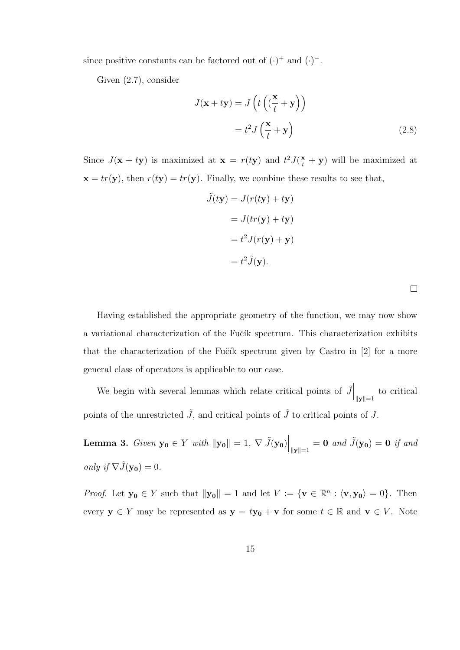since positive constants can be factored out of  $(\cdot)^+$  and  $(\cdot)^-$ .

Given (2.7), consider

$$
J(\mathbf{x} + t\mathbf{y}) = J\left(t\left((\frac{\mathbf{x}}{t} + \mathbf{y})\right)\right)
$$

$$
= t^2 J\left(\frac{\mathbf{x}}{t} + \mathbf{y}\right)
$$
(2.8)

Since  $J(\mathbf{x} + t\mathbf{y})$  is maximized at  $\mathbf{x} = r(t\mathbf{y})$  and  $t^2 J(\frac{\mathbf{x}}{t} + \mathbf{y})$  will be maximized at  $\mathbf{x} = tr(\mathbf{y})$ , then  $r(t\mathbf{y}) = tr(\mathbf{y})$ . Finally, we combine these results to see that,

$$
\tilde{J}(t\mathbf{y}) = J(r(t\mathbf{y}) + t\mathbf{y})
$$

$$
= J(tr(\mathbf{y}) + t\mathbf{y})
$$

$$
= t^2 J(r(\mathbf{y}) + \mathbf{y})
$$

$$
= t^2 \tilde{J}(\mathbf{y}).
$$

Having established the appropriate geometry of the function, we may now show a variational characterization of the Fučík spectrum. This characterization exhibits that the characterization of the Fučík spectrum given by Castro in  $[2]$  for a more general class of operators is applicable to our case.

We begin with several lemmas which relate critical points of  $\tilde{J}\Big|_{\|\mathbf{y}\|=1}$  to critical points of the unrestricted  $\tilde{J}$ , and critical points of  $\tilde{J}$  to critical points of J.

**Lemma 3.** Given  $\mathbf{y_0} \in Y$  with  $\|\mathbf{y_0}\| = 1$ ,  $\nabla \tilde{J}(\mathbf{y_0})\Big|_{\|\mathbf{y}\|=1} = \mathbf{0}$  and  $\tilde{J}(\mathbf{y_0}) = \mathbf{0}$  if and only if  $\nabla \tilde{J}(\mathbf{y_0}) = 0$ .

*Proof.* Let  $y_0 \in Y$  such that  $||y_0|| = 1$  and let  $V := \{v \in \mathbb{R}^n : \langle v, y_0 \rangle = 0\}$ . Then every  $y \in Y$  may be represented as  $y = ty_0 + v$  for some  $t \in \mathbb{R}$  and  $v \in V$ . Note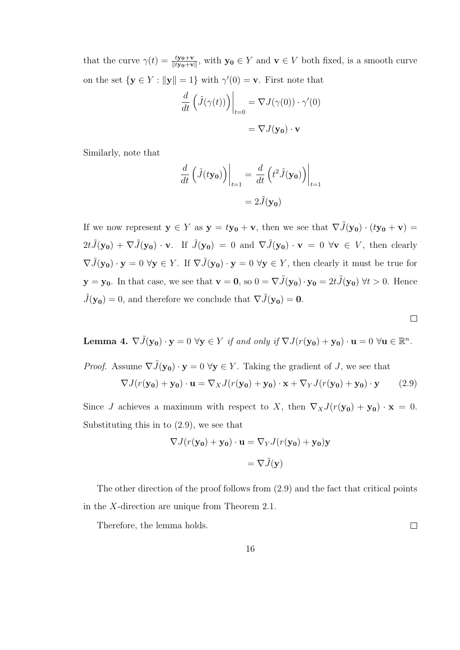that the curve  $\gamma(t) = \frac{ty_0 + v}{\|ty_0 + v\|}$ , with  $y_0 \in Y$  and  $v \in V$  both fixed, is a smooth curve on the set  $\{y \in Y : ||y|| = 1\}$  with  $\gamma'(0) = v$ . First note that

$$
\frac{d}{dt} \left( \tilde{J}(\gamma(t)) \right) \Big|_{t=0} = \nabla J(\gamma(0)) \cdot \gamma'(0)
$$

$$
= \nabla J(\mathbf{y_0}) \cdot \mathbf{v}
$$

Similarly, note that

$$
\frac{d}{dt} \left( \tilde{J}(t\mathbf{y_0}) \right) \Big|_{t=1} = \frac{d}{dt} \left( t^2 \tilde{J}(\mathbf{y_0}) \right) \Big|_{t=1}
$$

$$
= 2 \tilde{J}(\mathbf{y_0})
$$

If we now represent  $y \in Y$  as  $y = ty_0 + v$ , then we see that  $\nabla \tilde{J}(y_0) \cdot (ty_0 + v) =$  $2t\tilde{J}(\mathbf{y_0}) + \nabla \tilde{J}(\mathbf{y_0}) \cdot \mathbf{v}$ . If  $\tilde{J}(\mathbf{y_0}) = 0$  and  $\nabla \tilde{J}(\mathbf{y_0}) \cdot \mathbf{v} = 0 \forall \mathbf{v} \in V$ , then clearly  $\nabla \tilde{J}(\mathbf{y_0}) \cdot \mathbf{y} = 0 \ \forall \mathbf{y} \in Y$ . If  $\nabla \tilde{J}(\mathbf{y_0}) \cdot \mathbf{y} = 0 \ \forall \mathbf{y} \in Y$ , then clearly it must be true for  $y = y_0$ . In that case, we see that  $v = 0$ , so  $0 = \nabla \tilde{J}(y_0) \cdot y_0 = 2t \tilde{J}(y_0) \forall t > 0$ . Hence  $\tilde{J}(\mathbf{y_0}) = 0$ , and therefore we conclude that  $\nabla \tilde{J}(\mathbf{y_0}) = \mathbf{0}$ .

**Lemma 4.** 
$$
\nabla \tilde{J}(\mathbf{y_0}) \cdot \mathbf{y} = 0 \ \forall \mathbf{y} \in Y \text{ if and only if } \nabla J(r(\mathbf{y_0}) + \mathbf{y_0}) \cdot \mathbf{u} = 0 \ \forall \mathbf{u} \in \mathbb{R}^n.
$$

*Proof.* Assume 
$$
\nabla \tilde{J}(\mathbf{y_0}) \cdot \mathbf{y} = 0 \ \forall \mathbf{y} \in Y
$$
. Taking the gradient of *J*, we see that  
\n
$$
\nabla J(r(\mathbf{y_0}) + \mathbf{y_0}) \cdot \mathbf{u} = \nabla_X J(r(\mathbf{y_0}) + \mathbf{y_0}) \cdot \mathbf{x} + \nabla_Y J(r(\mathbf{y_0}) + \mathbf{y_0}) \cdot \mathbf{y}
$$
\n(2.9)

Since J achieves a maximum with respect to X, then  $\nabla_X J(r(\mathbf{y_0}) + \mathbf{y_0}) \cdot \mathbf{x} = 0$ . Substituting this in to (2.9), we see that

$$
\nabla J(r(\mathbf{y_0}) + \mathbf{y_0}) \cdot \mathbf{u} = \nabla_Y J(r(\mathbf{y_0}) + \mathbf{y_0})\mathbf{y}
$$

$$
= \nabla \tilde{J}(\mathbf{y})
$$

The other direction of the proof follows from (2.9) and the fact that critical points in the X-direction are unique from Theorem 2.1.

Therefore, the lemma holds.

 $\Box$ 

 $\Box$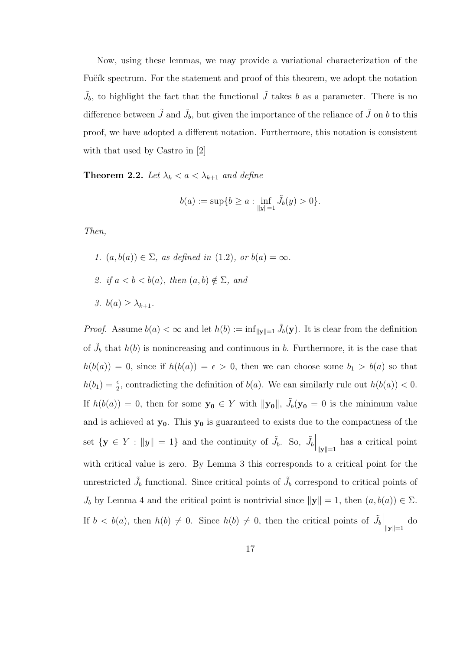Now, using these lemmas, we may provide a variational characterization of the Fučík spectrum. For the statement and proof of this theorem, we adopt the notation  $\tilde{J}_b$ , to highlight the fact that the functional  $\tilde{J}$  takes b as a parameter. There is no difference between  $\tilde{J}$  and  $\tilde{J}_b$ , but given the importance of the reliance of  $\tilde{J}$  on b to this proof, we have adopted a different notation. Furthermore, this notation is consistent with that used by Castro in [2]

**Theorem 2.2.** Let  $\lambda_k < a < \lambda_{k+1}$  and define

$$
b(a) := \sup\{b \ge a : \inf_{\|y\|=1} \tilde{J}_b(y) > 0\}.
$$

Then,

\n- 1. 
$$
(a, b(a)) \in \Sigma
$$
, as defined in (1.2), or  $b(a) = \infty$ .
\n- 2. if  $a < b < b(a)$ , then  $(a, b) \notin \Sigma$ , and
\n- 3.  $b(a) \geq \lambda_{k+1}$ .
\n

*Proof.* Assume  $b(a) < \infty$  and let  $h(b) := \inf_{\|\mathbf{y}\|=1} \tilde{J}_b(\mathbf{y})$ . It is clear from the definition of  $\tilde{J}_b$  that  $h(b)$  is nonincreasing and continuous in b. Furthermore, it is the case that  $h(b(a)) = 0$ , since if  $h(b(a)) = \epsilon > 0$ , then we can choose some  $b_1 > b(a)$  so that  $h(b_1) = \frac{\epsilon}{2}$ , contradicting the definition of  $b(a)$ . We can similarly rule out  $h(b(a)) < 0$ . If  $h(b(a)) = 0$ , then for some  $y_0 \in Y$  with  $||y_0||$ ,  $\tilde{J}_b(y_0 = 0$  is the minimum value and is achieved at  $y_0$ . This  $y_0$  is guaranteed to exists due to the compactness of the set  $\{ \mathbf{y} \in Y : ||y|| = 1 \}$  and the continuity of  $\tilde{J}_b$ . So,  $\tilde{J}_b \Big|_{||\mathbf{y}||=1}$  has a critical point with critical value is zero. By Lemma 3 this corresponds to a critical point for the unrestricted  $\tilde{J}_b$  functional. Since critical points of  $\tilde{J}_b$  correspond to critical points of  $J_b$  by Lemma 4 and the critical point is nontrivial since  $\|\mathbf{y}\| = 1$ , then  $(a, b(a)) \in \Sigma$ . If  $b < b(a)$ , then  $h(b) \neq 0$ . Since  $h(b) \neq 0$ , then the critical points of  $\tilde{J}_b\Big|_{\|\mathbf{y}\|=1}$  do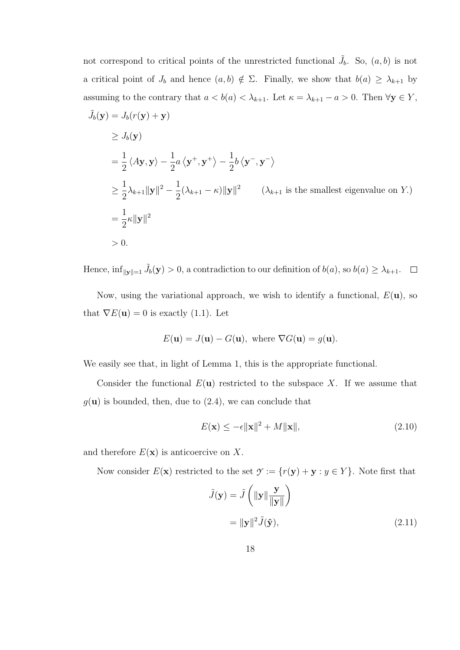not correspond to critical points of the unrestricted functional  $\tilde{J}_b$ . So,  $(a, b)$  is not a critical point of  $J_b$  and hence  $(a, b) \notin \Sigma$ . Finally, we show that  $b(a) \geq \lambda_{k+1}$  by assuming to the contrary that  $a < b(a) < \lambda_{k+1}$ . Let  $\kappa = \lambda_{k+1} - a > 0$ . Then  $\forall y \in Y$ ,

$$
\tilde{J}_b(\mathbf{y}) = J_b(r(\mathbf{y}) + \mathbf{y})
$$
\n
$$
\geq J_b(\mathbf{y})
$$
\n
$$
= \frac{1}{2} \langle A\mathbf{y}, \mathbf{y} \rangle - \frac{1}{2} a \langle \mathbf{y}^+, \mathbf{y}^+ \rangle - \frac{1}{2} b \langle \mathbf{y}^-, \mathbf{y}^- \rangle
$$
\n
$$
\geq \frac{1}{2} \lambda_{k+1} \|\mathbf{y}\|^2 - \frac{1}{2} (\lambda_{k+1} - \kappa) \|\mathbf{y}\|^2 \qquad (\lambda_{k+1} \text{ is the smallest eigenvalue on } Y.)
$$
\n
$$
= \frac{1}{2} \kappa \|\mathbf{y}\|^2
$$
\n
$$
> 0.
$$

Hence,  $\inf_{\|\mathbf{y}\|=1} \tilde{J}_b(\mathbf{y}) > 0$ , a contradiction to our definition of  $b(a)$ , so  $b(a) \geq \lambda_{k+1}$ .  $\Box$ 

Now, using the variational approach, we wish to identify a functional,  $E(\mathbf{u})$ , so that  $\nabla E(\mathbf{u}) = 0$  is exactly (1.1). Let

$$
E(\mathbf{u}) = J(\mathbf{u}) - G(\mathbf{u}), \text{ where } \nabla G(\mathbf{u}) = g(\mathbf{u}).
$$

We easily see that, in light of Lemma 1, this is the appropriate functional.

Consider the functional  $E(\mathbf{u})$  restricted to the subspace X. If we assume that  $g(\mathbf{u})$  is bounded, then, due to (2.4), we can conclude that

$$
E(\mathbf{x}) \le -\epsilon \|\mathbf{x}\|^2 + M\|\mathbf{x}\|,\tag{2.10}
$$

and therefore  $E(\mathbf{x})$  is anticoercive on X.

Now consider  $E(\mathbf{x})$  restricted to the set  $\mathcal{Y} := \{r(\mathbf{y}) + \mathbf{y} : y \in Y\}$ . Note first that

$$
\tilde{J}(\mathbf{y}) = \tilde{J}\left(\|\mathbf{y}\| \frac{\mathbf{y}}{\|\mathbf{y}\|}\right)
$$

$$
= \|\mathbf{y}\|^2 \tilde{J}(\hat{\mathbf{y}}),
$$
(2.11)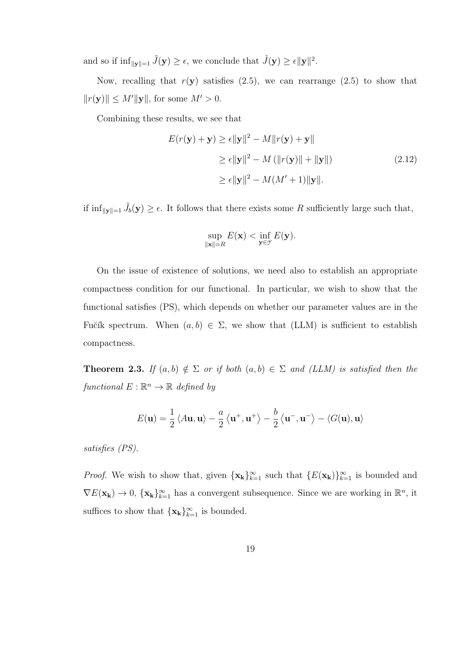and so if  $\inf_{\|\mathbf{y}\|=1} \tilde{J}(\mathbf{y}) \geq \epsilon$ , we conclude that  $\tilde{J}(\mathbf{y}) \geq \epsilon \|\mathbf{y}\|^2$ .

Now, recalling that  $r(y)$  satisfies (2.5), we can rearrange (2.5) to show that  $||r(\mathbf{y})|| \le M'||\mathbf{y}||$ , for some  $M' > 0$ .

Combining these results, we see that

$$
E(r(\mathbf{y}) + \mathbf{y}) \ge \epsilon \|\mathbf{y}\|^2 - M\|r(\mathbf{y}) + \mathbf{y}\|
$$
  
\n
$$
\ge \epsilon \|\mathbf{y}\|^2 - M(\|r(\mathbf{y})\| + \|\mathbf{y}\|)
$$
  
\n
$$
\ge \epsilon \|\mathbf{y}\|^2 - M(M' + 1)\|\mathbf{y}\|.
$$
\n(2.12)

if  $\inf_{\|\mathbf{y}\|=1} \tilde{J}_b(\mathbf{y}) \geq \epsilon$ . It follows that there exists some R sufficiently large such that,

$$
\sup_{\|\mathbf{x}\|=R} E(\mathbf{x}) < \inf_{\mathbf{y}\in\mathcal{Y}} E(\mathbf{y}).
$$

On the issue of existence of solutions, we need also to establish an appropriate compactness condition for our functional. In particular, we wish to show that the functional satisfies (PS), which depends on whether our parameter values are in the Fučík spectrum. When  $(a, b) \in \Sigma$ , we show that (LLM) is sufficient to establish compactness.

**Theorem 2.3.** If  $(a, b) \notin \Sigma$  or if both  $(a, b) \in \Sigma$  and (LLM) is satisfied then the functional  $E : \mathbb{R}^n \to \mathbb{R}$  defined by

$$
E(\mathbf{u}) = \frac{1}{2} \langle A\mathbf{u}, \mathbf{u} \rangle - \frac{a}{2} \langle \mathbf{u}^+, \mathbf{u}^+ \rangle - \frac{b}{2} \langle \mathbf{u}^-, \mathbf{u}^- \rangle - \langle G(\mathbf{u}), \mathbf{u} \rangle
$$

satisfies (PS).

*Proof.* We wish to show that, given  $\{x_k\}_{k=1}^{\infty}$  such that  $\{E(x_k)\}_{k=1}^{\infty}$  is bounded and  $\nabla E(\mathbf{x_k}) \to 0$ ,  $\{\mathbf{x_k}\}_{k=1}^{\infty}$  has a convergent subsequence. Since we are working in  $\mathbb{R}^n$ , it suffices to show that  $\{x_k\}_{k=1}^{\infty}$  is bounded.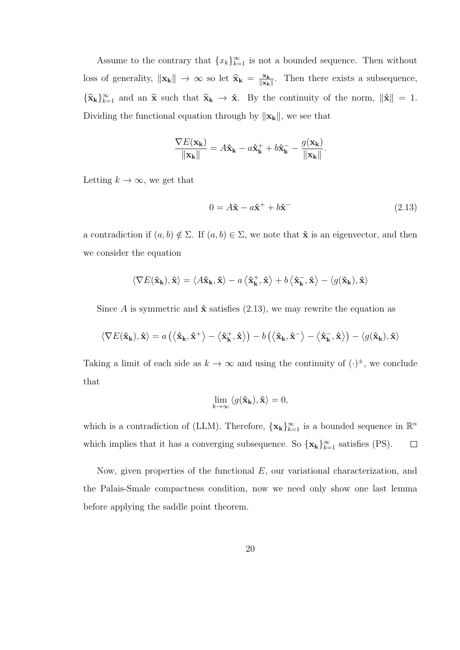Assume to the contrary that  ${x_k}_{k=1}^{\infty}$  is not a bounded sequence. Then without loss of generality,  $\|\mathbf{x}_{k}\| \to \infty$  so let  $\hat{\mathbf{x}}_{k} = \frac{\mathbf{x}_{k}}{\|\mathbf{x}_{k}\|}$  $\frac{\mathbf{x_k}}{\|\mathbf{x_k}\|}$ . Then there exists a subsequence,  ${\{\hat{\mathbf{x}}_k\}}_{k=1}^{\infty}$  and an  $\hat{\mathbf{x}}$  such that  $\hat{\mathbf{x}}_k \to \hat{\mathbf{x}}$ . By the continuity of the norm,  $\|\hat{\mathbf{x}}\| = 1$ . Dividing the functional equation through by  $\|{\bf x}_{\bf k}\|,$  we see that

$$
\frac{\nabla E(\mathbf{x_k})}{\|\mathbf{x_k}\|} = A\hat{\mathbf{x}}_{\mathbf{k}} - a\hat{\mathbf{x}}_{\mathbf{k}}^+ + b\hat{\mathbf{x}}_{\mathbf{k}}^- - \frac{g(\mathbf{x_k})}{\|\mathbf{x_k}\|}.
$$

Letting  $k \to \infty$ , we get that

$$
0 = A\hat{\mathbf{x}} - a\hat{\mathbf{x}}^{+} + b\hat{\mathbf{x}}^{-}
$$
\n
$$
(2.13)
$$

a contradiction if  $(a, b) \notin \Sigma$ . If  $(a, b) \in \Sigma$ , we note that  $\hat{\mathbf{x}}$  is an eigenvector, and then we consider the equation

$$
\langle \nabla E(\hat{\mathbf{x}}_{k}), \hat{\mathbf{x}} \rangle = \langle A\hat{\mathbf{x}}_{k}, \hat{\mathbf{x}} \rangle - a \langle \hat{\mathbf{x}}_{k}^{+}, \hat{\mathbf{x}} \rangle + b \langle \hat{\mathbf{x}}_{k}^{-}, \hat{\mathbf{x}} \rangle - \langle g(\hat{\mathbf{x}}_{k}), \hat{\mathbf{x}} \rangle
$$

Since A is symmetric and  $\hat{\mathbf{x}}$  satisfies (2.13), we may rewrite the equation as

$$
\langle \nabla E(\hat{\mathbf{x}}_{\mathbf{k}}), \hat{\mathbf{x}} \rangle = a\left( \left\langle \hat{\mathbf{x}}_{\mathbf{k}}, \hat{\mathbf{x}}^{+} \right\rangle - \left\langle \hat{\mathbf{x}}_{\mathbf{k}}^{+}, \hat{\mathbf{x}} \right\rangle \right) - b\left( \left\langle \hat{\mathbf{x}}_{\mathbf{k}}, \hat{\mathbf{x}}^{-} \right\rangle - \left\langle \hat{\mathbf{x}}_{\mathbf{k}}^{-}, \hat{\mathbf{x}} \right\rangle \right) - \langle g(\hat{\mathbf{x}}_{\mathbf{k}}), \hat{\mathbf{x}} \rangle
$$

Taking a limit of each side as  $k \to \infty$  and using the continuity of  $(\cdot)^{\pm}$ , we conclude that

$$
\lim_{k \to \infty} \langle g(\hat{\mathbf{x}}_{k}), \hat{\mathbf{x}} \rangle = 0,
$$

which is a contradiction of (LLM). Therefore,  $\{x_k\}_{k=1}^{\infty}$  is a bounded sequence in  $\mathbb{R}^n$ which implies that it has a converging subsequence. So  $\{x_k\}_{k=1}^{\infty}$  satisfies (PS).  $\Box$ 

Now, given properties of the functional  $E$ , our variational characterization, and the Palais-Smale compactness condition, now we need only show one last lemma before applying the saddle point theorem.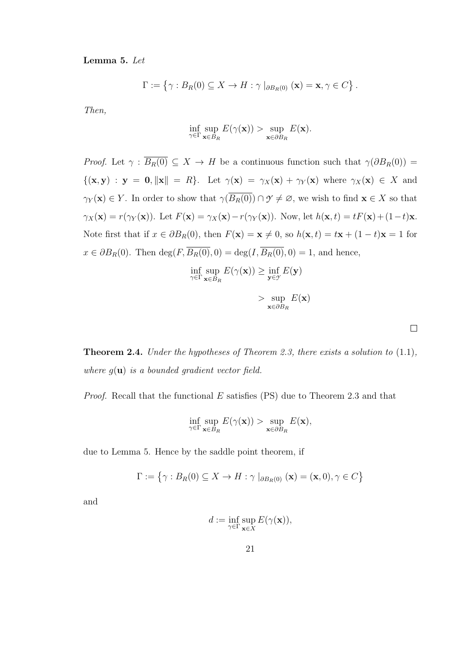Lemma 5. Let

$$
\Gamma := \left\{ \gamma : B_R(0) \subseteq X \to H : \gamma \mid_{\partial B_R(0)} (\mathbf{x}) = \mathbf{x}, \gamma \in C \right\}.
$$

Then,

$$
\inf_{\gamma \in \Gamma} \sup_{\mathbf{x} \in B_R} E(\gamma(\mathbf{x})) > \sup_{\mathbf{x} \in \partial B_R} E(\mathbf{x}).
$$

*Proof.* Let  $\gamma : \overline{B_R(0)} \subseteq X \to H$  be a continuous function such that  $\gamma(\partial B_R(0)) =$  $\{(\mathbf{x}, \mathbf{y}) : \mathbf{y} = \mathbf{0}, ||\mathbf{x}|| = R\}.$  Let  $\gamma(\mathbf{x}) = \gamma_X(\mathbf{x}) + \gamma_Y(\mathbf{x})$  where  $\gamma_X(\mathbf{x}) \in X$  and  $\gamma_Y(\mathbf{x}) \in Y$ . In order to show that  $\gamma(\overline{B_R(0)}) \cap \mathcal{Y} \neq \emptyset$ , we wish to find  $\mathbf{x} \in X$  so that  $\gamma_X(\mathbf{x}) = r(\gamma_Y(\mathbf{x}))$ . Let  $F(\mathbf{x}) = \gamma_X(\mathbf{x}) - r(\gamma_Y(\mathbf{x}))$ . Now, let  $h(\mathbf{x}, t) = tF(\mathbf{x}) + (1-t)\mathbf{x}$ . Note first that if  $x \in \partial B_R(0)$ , then  $F(\mathbf{x}) = \mathbf{x} \neq 0$ , so  $h(\mathbf{x}, t) = t\mathbf{x} + (1 - t)\mathbf{x} = 1$  for  $x \in \partial B_R(0)$ . Then  $\deg(F, \overline{B_R(0)}, 0) = \deg(I, \overline{B_R(0)}, 0) = 1$ , and hence,

$$
\inf_{\gamma \in \Gamma} \sup_{\mathbf{x} \in B_R} E(\gamma(\mathbf{x})) \ge \inf_{\mathbf{y} \in \gamma} E(\mathbf{y})
$$

| sup                           | $E(\mathbf{x})$ |
|-------------------------------|-----------------|
| $\mathbf{x} \in \partial B_R$ |                 |

 $\Box$ 

Theorem 2.4. Under the hypotheses of Theorem 2.3, there exists a solution to (1.1), where  $g(\mathbf{u})$  is a bounded gradient vector field.

*Proof.* Recall that the functional  $E$  satisfies (PS) due to Theorem 2.3 and that

$$
\inf_{\gamma \in \Gamma} \sup_{\mathbf{x} \in B_R} E(\gamma(\mathbf{x})) > \sup_{\mathbf{x} \in \partial B_R} E(\mathbf{x}),
$$

due to Lemma 5. Hence by the saddle point theorem, if

$$
\Gamma := \{ \gamma : B_R(0) \subseteq X \to H : \gamma \mid_{\partial B_R(0)} (\mathbf{x}) = (\mathbf{x}, 0), \gamma \in C \}
$$

and

$$
d:=\inf_{\gamma\in\Gamma}\sup_{\mathbf{x}\in X}E(\gamma(\mathbf{x})),
$$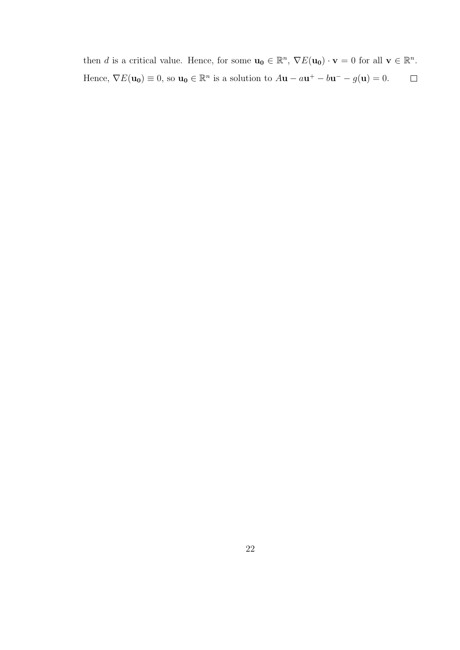then d is a critical value. Hence, for some  $\mathbf{u_0} \in \mathbb{R}^n$ ,  $\nabla E(\mathbf{u_0}) \cdot \mathbf{v} = 0$  for all  $\mathbf{v} \in \mathbb{R}^n$ . Hence,  $\nabla E(\mathbf{u_0}) \equiv 0$ , so  $\mathbf{u_0} \in \mathbb{R}^n$  is a solution to  $A\mathbf{u} - a\mathbf{u}^+ - b\mathbf{u}^- - g(\mathbf{u}) = 0$ .  $\Box$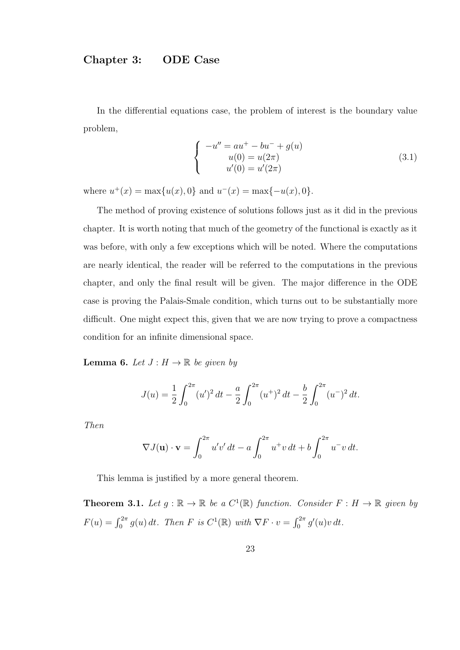## Chapter 3: ODE Case

In the differential equations case, the problem of interest is the boundary value problem,

$$
\begin{cases}\n-u'' = au^+ - bu^- + g(u) \\
u(0) = u(2\pi) \\
u'(0) = u'(2\pi)\n\end{cases}
$$
\n(3.1)

where  $u^+(x) = \max\{u(x), 0\}$  and  $u^-(x) = \max\{-u(x), 0\}.$ 

The method of proving existence of solutions follows just as it did in the previous chapter. It is worth noting that much of the geometry of the functional is exactly as it was before, with only a few exceptions which will be noted. Where the computations are nearly identical, the reader will be referred to the computations in the previous chapter, and only the final result will be given. The major difference in the ODE case is proving the Palais-Smale condition, which turns out to be substantially more difficult. One might expect this, given that we are now trying to prove a compactness condition for an infinite dimensional space.

**Lemma 6.** Let  $J: H \to \mathbb{R}$  be given by

$$
J(u) = \frac{1}{2} \int_0^{2\pi} (u')^2 dt - \frac{a}{2} \int_0^{2\pi} (u^+)^2 dt - \frac{b}{2} \int_0^{2\pi} (u^-)^2 dt.
$$

Then

$$
\nabla J(\mathbf{u}) \cdot \mathbf{v} = \int_0^{2\pi} u'v' dt - a \int_0^{2\pi} u^+ v dt + b \int_0^{2\pi} u^- v dt.
$$

This lemma is justified by a more general theorem.

**Theorem 3.1.** Let  $g : \mathbb{R} \to \mathbb{R}$  be a  $C^1(\mathbb{R})$  function. Consider  $F : H \to \mathbb{R}$  given by  $F(u) = \int_0^{2\pi} g(u) dt$ . Then F is  $C^1(\mathbb{R})$  with  $\nabla F \cdot v = \int_0^{2\pi} g'(u)v dt$ .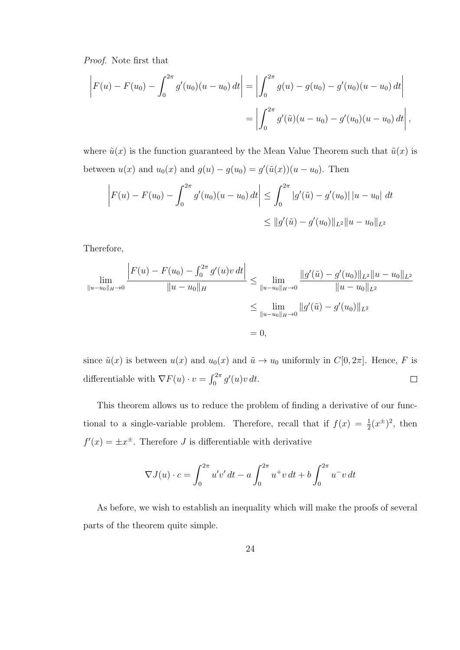Proof. Note first that

$$
\left| F(u) - F(u_0) - \int_0^{2\pi} g'(u_0)(u - u_0) dt \right| = \left| \int_0^{2\pi} g(u) - g(u_0) - g'(u_0)(u - u_0) dt \right|
$$
  
= 
$$
\left| \int_0^{2\pi} g'(\tilde{u})(u - u_0) - g'(u_0)(u - u_0) dt \right|,
$$

where  $\tilde{u}(x)$  is the function guaranteed by the Mean Value Theorem such that  $\tilde{u}(x)$  is between  $u(x)$  and  $u_0(x)$  and  $g(u) - g(u_0) = g'(\tilde{u}(x))(u - u_0)$ . Then

$$
\left| F(u) - F(u_0) - \int_0^{2\pi} g'(u_0)(u - u_0) dt \right| \leq \int_0^{2\pi} |g'(\tilde{u}) - g'(u_0)| |u - u_0| dt
$$
  

$$
\leq \|g'(\tilde{u}) - g'(u_0)\|_{L^2} \|u - u_0\|_{L^2}
$$

Therefore,

$$
\lim_{\|u-u_0\|_H\to 0} \frac{\left|F(u)-F(u_0)-\int_0^{2\pi} g'(u)v\,dt\right|}{\|u-u_0\|_H} \le \lim_{\|u-u_0\|_H\to 0} \frac{\|g'(\tilde{u})-g'(u_0)\|_{L^2}\|u-u_0\|_{L^2}}{\|u-u_0\|_{L^2}}\le \lim_{\|u-u_0\|_H\to 0} \|g'(\tilde{u})-g'(u_0)\|_{L^2}= 0,
$$

since  $\tilde{u}(x)$  is between  $u(x)$  and  $u_0(x)$  and  $\tilde{u} \to u_0$  uniformly in  $C[0, 2\pi]$ . Hence, F is differentiable with  $\nabla F(u) \cdot v = \int_0^{2\pi} g'(u)v \, dt$ .  $\Box$ 

This theorem allows us to reduce the problem of finding a derivative of our functional to a single-variable problem. Therefore, recall that if  $f(x) = \frac{1}{2}(x^{\pm})^2$ , then  $f'(x) = \pm x^{\pm}$ . Therefore J is differentiable with derivative

$$
\nabla J(u) \cdot c = \int_0^{2\pi} u'v' dt - a \int_0^{2\pi} u^+ v dt + b \int_0^{2\pi} u^- v dt
$$

As before, we wish to establish an inequality which will make the proofs of several parts of the theorem quite simple.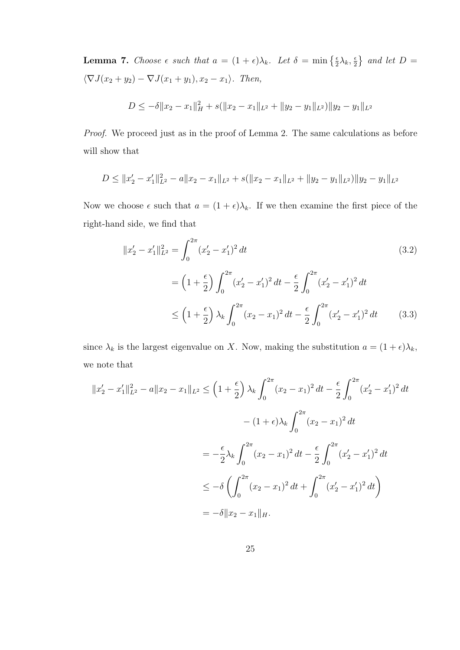**Lemma 7.** Choose  $\epsilon$  such that  $a = (1 + \epsilon)\lambda_k$ . Let  $\delta = \min\left\{\frac{\epsilon}{2}\lambda_k, \frac{\epsilon}{2}\right\}$  $\frac{\epsilon}{2}$  and let  $D =$  $\langle \nabla J(x_2 + y_2) - \nabla J(x_1 + y_1), x_2 - x_1 \rangle$ . Then,

$$
D \leq -\delta \|x_2 - x_1\|_H^2 + s(\|x_2 - x_1\|_{L^2} + \|y_2 - y_1\|_{L^2}) \|y_2 - y_1\|_{L^2}
$$

Proof. We proceed just as in the proof of Lemma 2. The same calculations as before will show that

$$
D \le ||x_2' - x_1'||_{L^2}^2 - a||x_2 - x_1||_{L^2} + s(||x_2 - x_1||_{L^2} + ||y_2 - y_1||_{L^2})||y_2 - y_1||_{L^2}
$$

Now we choose  $\epsilon$  such that  $a = (1 + \epsilon)\lambda_k$ . If we then examine the first piece of the right-hand side, we find that

$$
||x_2' - x_1'||_{L^2}^2 = \int_0^{2\pi} (x_2' - x_1')^2 dt
$$
  
\n
$$
= \left(1 + \frac{\epsilon}{2}\right) \int_0^{2\pi} (x_2' - x_1')^2 dt - \frac{\epsilon}{2} \int_0^{2\pi} (x_2' - x_1')^2 dt
$$
  
\n
$$
\leq \left(1 + \frac{\epsilon}{2}\right) \lambda_k \int_0^{2\pi} (x_2 - x_1)^2 dt - \frac{\epsilon}{2} \int_0^{2\pi} (x_2' - x_1')^2 dt
$$
 (3.3)

since  $\lambda_k$  is the largest eigenvalue on X. Now, making the substitution  $a = (1 + \epsilon)\lambda_k$ , we note that

$$
||x'_{2} - x'_{1}||_{L^{2}}^{2} - a||x_{2} - x_{1}||_{L^{2}} \leq \left(1 + \frac{\epsilon}{2}\right)\lambda_{k}\int_{0}^{2\pi}(x_{2} - x_{1})^{2} dt - \frac{\epsilon}{2}\int_{0}^{2\pi}(x'_{2} - x'_{1})^{2} dt
$$

$$
- (1 + \epsilon)\lambda_{k}\int_{0}^{2\pi}(x_{2} - x_{1})^{2} dt
$$

$$
= -\frac{\epsilon}{2}\lambda_{k}\int_{0}^{2\pi}(x_{2} - x_{1})^{2} dt - \frac{\epsilon}{2}\int_{0}^{2\pi}(x'_{2} - x'_{1})^{2} dt
$$

$$
\leq -\delta\left(\int_{0}^{2\pi}(x_{2} - x_{1})^{2} dt + \int_{0}^{2\pi}(x'_{2} - x'_{1})^{2} dt\right)
$$

$$
= -\delta||x_{2} - x_{1}||_{H}.
$$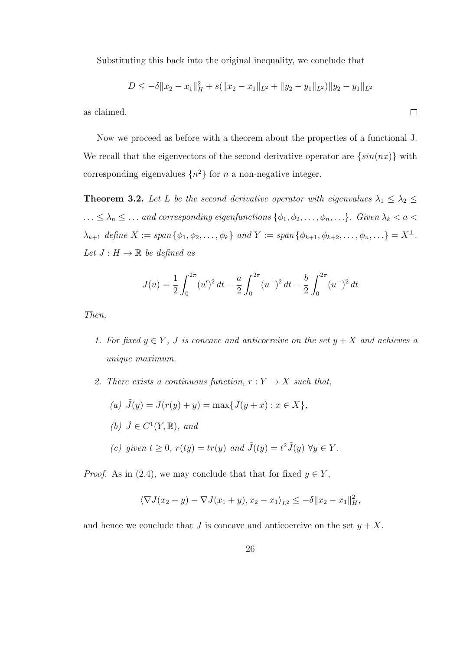Substituting this back into the original inequality, we conclude that

$$
D \leq -\delta \|x_2 - x_1\|_H^2 + s(\|x_2 - x_1\|_{L^2} + \|y_2 - y_1\|_{L^2}) \|y_2 - y_1\|_{L^2}
$$

 $\Box$ 

as claimed.

Now we proceed as before with a theorem about the properties of a functional J. We recall that the eigenvectors of the second derivative operator are  $\{sin(nx)\}\$  with corresponding eigenvalues  $\{n^2\}$  for n a non-negative integer.

**Theorem 3.2.** Let L be the second derivative operator with eigenvalues  $\lambda_1 \leq \lambda_2 \leq$  $\ldots \leq \lambda_n \leq \ldots$  and corresponding eigenfunctions  $\{\phi_1, \phi_2, \ldots, \phi_n, \ldots\}$ . Given  $\lambda_k < a <$  $\lambda_{k+1}$  define  $X := \text{span} \{ \phi_1, \phi_2, \dots, \phi_k \}$  and  $Y := \text{span} \{ \phi_{k+1}, \phi_{k+2}, \dots, \phi_n, \dots \} = X^{\perp}$ . Let  $J: H \to \mathbb{R}$  be defined as

$$
J(u) = \frac{1}{2} \int_0^{2\pi} (u')^2 dt - \frac{a}{2} \int_0^{2\pi} (u^+)^2 dt - \frac{b}{2} \int_0^{2\pi} (u^-)^2 dt
$$

Then,

- 1. For fixed  $y \in Y$ , J is concave and anticoercive on the set  $y + X$  and achieves a unique maximum.
- 2. There exists a continuous function,  $r: Y \to X$  such that,
	- (a)  $\tilde{J}(y) = J(r(y) + y) = \max\{J(y + x) : x \in X\},\$
	- (b)  $\tilde{J} \in C^1(Y,\mathbb{R}),$  and
	- (c) given  $t \geq 0$ ,  $r(ty) = tr(y)$  and  $\tilde{J}(ty) = t^2 \tilde{J}(y)$   $\forall y \in Y$ .

*Proof.* As in (2.4), we may conclude that that for fixed  $y \in Y$ ,

$$
\langle \nabla J(x_2 + y) - \nabla J(x_1 + y), x_2 - x_1 \rangle_{L^2} \leq -\delta \| x_2 - x_1 \|_{H}^2,
$$

and hence we conclude that J is concave and anticoercive on the set  $y + X$ .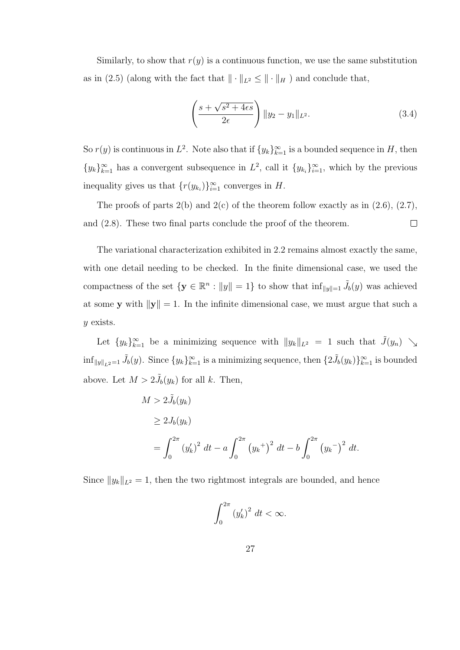Similarly, to show that  $r(y)$  is a continuous function, we use the same substitution as in (2.5) (along with the fact that  $\|\cdot\|_{L^2} \le \|\cdot\|_H$ ) and conclude that,

$$
\left(\frac{s+\sqrt{s^2+4\epsilon s}}{2\epsilon}\right) \|y_2-y_1\|_{L^2}.
$$
\n(3.4)

So  $r(y)$  is continuous in  $L^2$ . Note also that if  $\{y_k\}_{k=1}^{\infty}$  is a bounded sequence in H, then  $\{y_k\}_{k=1}^{\infty}$  has a convergent subsequence in  $L^2$ , call it  $\{y_{k_i}\}_{i=1}^{\infty}$ , which by the previous inequality gives us that  $\{r(y_{k_i})\}_{i=1}^{\infty}$  converges in H.

The proofs of parts  $2(b)$  and  $2(c)$  of the theorem follow exactly as in  $(2.6)$ ,  $(2.7)$ , and (2.8). These two final parts conclude the proof of the theorem.  $\Box$ 

The variational characterization exhibited in 2.2 remains almost exactly the same, with one detail needing to be checked. In the finite dimensional case, we used the compactness of the set  $\{y \in \mathbb{R}^n : ||y|| = 1\}$  to show that  $\inf_{||y||=1} \tilde{J}_b(y)$  was achieved at some y with  $\|\mathbf{y}\| = 1$ . In the infinite dimensional case, we must argue that such a y exists.

Let  $\{y_k\}_{k=1}^{\infty}$  be a minimizing sequence with  $||y_k||_{L^2} = 1$  such that  $\tilde{J}(y_n) \searrow$  $\inf_{\|y\|_{L^2}=1} \tilde{J}_b(y)$ . Since  $\{y_k\}_{k=1}^{\infty}$  is a minimizing sequence, then  $\{2\tilde{J}_b(y_k)\}_{k=1}^{\infty}$  is bounded above. Let  $M > 2\tilde{J}_b(y_k)$  for all k. Then,

$$
M > 2\tilde{J}_b(y_k)
$$
  
\n
$$
\geq 2J_b(y_k)
$$
  
\n
$$
= \int_0^{2\pi} (y'_k)^2 dt - a \int_0^{2\pi} (y_k^+)^2 dt - b \int_0^{2\pi} (y_k^-)^2 dt.
$$

Since  $||y_k||_{L^2} = 1$ , then the two rightmost integrals are bounded, and hence

$$
\int_0^{2\pi} \left(y_k'\right)^2 dt < \infty.
$$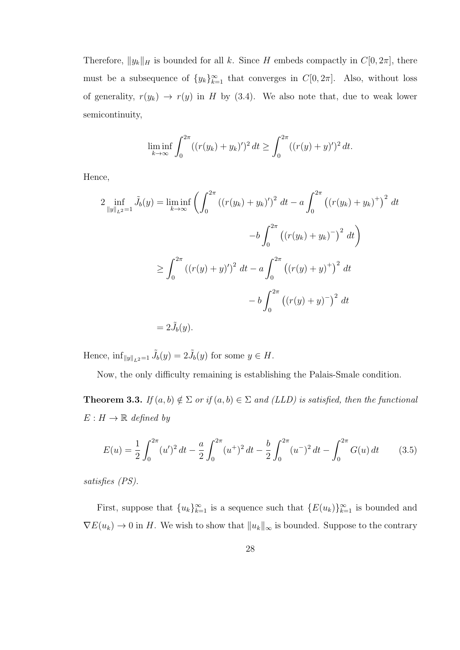Therefore,  $||y_k||_H$  is bounded for all k. Since H embeds compactly in  $C[0, 2\pi]$ , there must be a subsequence of  $\{y_k\}_{k=1}^{\infty}$  that converges in  $C[0, 2\pi]$ . Also, without loss of generality,  $r(y_k) \rightarrow r(y)$  in H by (3.4). We also note that, due to weak lower semicontinuity,

$$
\liminf_{k \to \infty} \int_0^{2\pi} ((r(y_k) + y_k)')^2 dt \ge \int_0^{2\pi} ((r(y) + y')^2 dt).
$$

Hence,

$$
2 \inf_{\|y\|_{L^2}=1} \tilde{J}_b(y) = \liminf_{k \to \infty} \left( \int_0^{2\pi} \left( (r(y_k) + y_k)' \right)^2 dt - a \int_0^{2\pi} \left( (r(y_k) + y_k)^+ \right)^2 dt \right)
$$
  

$$
-b \int_0^{2\pi} \left( (r(y_k) + y_k)^- \right)^2 dt \right)
$$
  

$$
\geq \int_0^{2\pi} \left( (r(y) + y)'\right)^2 dt - a \int_0^{2\pi} \left( (r(y) + y)^+ \right)^2 dt
$$
  

$$
-b \int_0^{2\pi} \left( (r(y) + y)^- \right)^2 dt
$$
  

$$
= 2\tilde{J}_b(y).
$$

Hence,  $\inf_{\|y\|_{L^2}=1} \tilde{J}_b(y) = 2\tilde{J}_b(y)$  for some  $y \in H$ .

Now, the only difficulty remaining is establishing the Palais-Smale condition.

**Theorem 3.3.** If  $(a, b) \notin \Sigma$  or if  $(a, b) \in \Sigma$  and (LLD) is satisfied, then the functional  $E: H \to \mathbb{R}$  defined by

$$
E(u) = \frac{1}{2} \int_0^{2\pi} (u')^2 dt - \frac{a}{2} \int_0^{2\pi} (u^+)^2 dt - \frac{b}{2} \int_0^{2\pi} (u^-)^2 dt - \int_0^{2\pi} G(u) dt \qquad (3.5)
$$

satisfies (PS).

First, suppose that  ${u_k}_{k=1}^{\infty}$  is a sequence such that  ${E(u_k)}_{k=1}^{\infty}$  is bounded and  $\nabla E(u_k) \to 0$  in H. We wish to show that  $||u_k||_{\infty}$  is bounded. Suppose to the contrary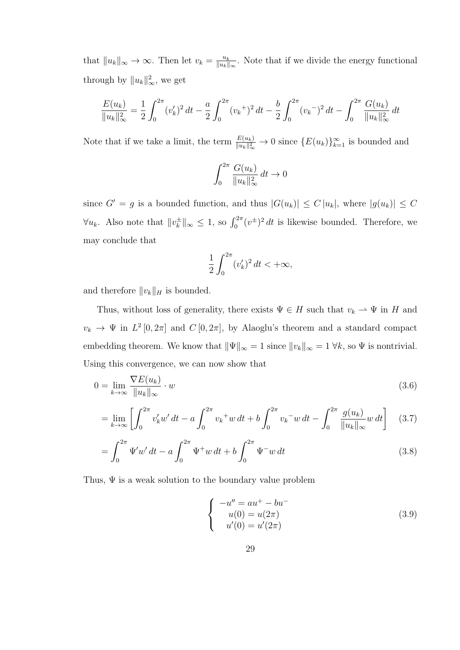that  $||u_k||_{\infty} \to \infty$ . Then let  $v_k = \frac{u_k}{||u_k||}$  $\frac{u_k}{\|u_k\|_{\infty}}$ . Note that if we divide the energy functional through by  $||u_k||_{\infty}^2$ , we get

$$
\frac{E(u_k)}{\|u_k\|_{\infty}^2} = \frac{1}{2} \int_0^{2\pi} (v_k')^2 dt - \frac{a}{2} \int_0^{2\pi} (v_k +)^2 dt - \frac{b}{2} \int_0^{2\pi} (v_k -)^2 dt - \int_0^{2\pi} \frac{G(u_k)}{\|u_k\|_{\infty}^2} dt
$$

Note that if we take a limit, the term  $\frac{E(u_k)}{\|u_k\|_{\infty}^2} \to 0$  since  $\{E(u_k)\}_{k=1}^{\infty}$  is bounded and

$$
\int_0^{2\pi} \frac{G(u_k)}{\|u_k\|_{\infty}^2} dt \to 0
$$

since  $G' = g$  is a bounded function, and thus  $|G(u_k)| \le C |u_k|$ , where  $|g(u_k)| \le C$  $\forall u_k$ . Also note that  $||v_k^{\pm}||$  $\int_{k}^{\pm}$ ||<sub>∞</sub> ≤ 1, so  $\int_{0}^{2\pi} (v^{\pm})^2 dt$  is likewise bounded. Therefore, we may conclude that

$$
\frac{1}{2} \int_0^{2\pi} (v'_k)^2 dt < +\infty,
$$

and therefore  $||v_k||_H$  is bounded.

Thus, without loss of generality, there exists  $\Psi \in H$  such that  $v_k \rightharpoonup \Psi$  in H and  $v_k \to \Psi$  in  $L^2[0, 2\pi]$  and  $C[0, 2\pi]$ , by Alaoglu's theorem and a standard compact embedding theorem. We know that  $\|\Psi\|_{\infty} = 1$  since  $\|v_k\|_{\infty} = 1 \forall k$ , so  $\Psi$  is nontrivial. Using this convergence, we can now show that

$$
0 = \lim_{k \to \infty} \frac{\nabla E(u_k)}{\|u_k\|_{\infty}} \cdot w \tag{3.6}
$$

$$
= \lim_{k \to \infty} \left[ \int_0^{2\pi} v'_k w' dt - a \int_0^{2\pi} v_k^+ w dt + b \int_0^{2\pi} v_k^- w dt - \int_0^{2\pi} \frac{g(u_k)}{\|u_k\|_{\infty}} w dt \right] \tag{3.7}
$$

$$
= \int_0^{2\pi} \Psi' w' dt - a \int_0^{2\pi} \Psi^+ w dt + b \int_0^{2\pi} \Psi^- w dt \tag{3.8}
$$

Thus,  $\Psi$  is a weak solution to the boundary value problem

$$
\begin{cases}\n-u'' = au^+ - bu^- \\
u(0) = u(2\pi) \\
u'(0) = u'(2\pi)\n\end{cases}
$$
\n(3.9)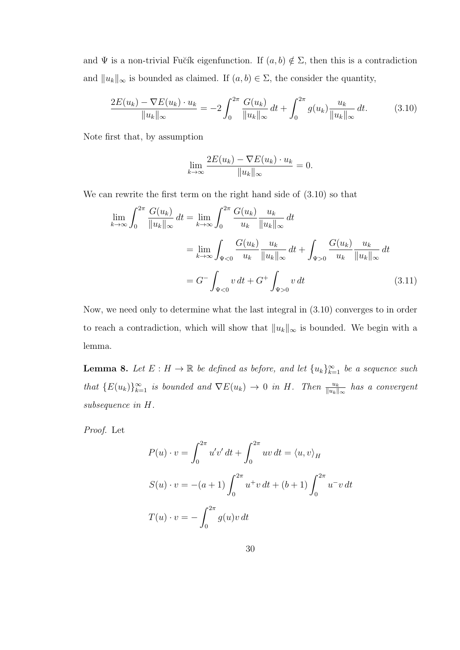and  $\Psi$  is a non-trivial Fučík eigenfunction. If  $(a, b) \notin \Sigma$ , then this is a contradiction and  $||u_k||_{\infty}$  is bounded as claimed. If  $(a, b) \in \Sigma$ , the consider the quantity,

$$
\frac{2E(u_k) - \nabla E(u_k) \cdot u_k}{\|u_k\|_{\infty}} = -2 \int_0^{2\pi} \frac{G(u_k)}{\|u_k\|_{\infty}} dt + \int_0^{2\pi} g(u_k) \frac{u_k}{\|u_k\|_{\infty}} dt.
$$
 (3.10)

Note first that, by assumption

$$
\lim_{k \to \infty} \frac{2E(u_k) - \nabla E(u_k) \cdot u_k}{\|u_k\|_{\infty}} = 0.
$$

We can rewrite the first term on the right hand side of (3.10) so that

$$
\lim_{k \to \infty} \int_0^{2\pi} \frac{G(u_k)}{\|u_k\|_{\infty}} dt = \lim_{k \to \infty} \int_0^{2\pi} \frac{G(u_k)}{u_k} \frac{u_k}{\|u_k\|_{\infty}} dt
$$
\n
$$
= \lim_{k \to \infty} \int_{\Psi < 0} \frac{G(u_k)}{u_k} \frac{u_k}{\|u_k\|_{\infty}} dt + \int_{\Psi > 0} \frac{G(u_k)}{u_k} \frac{u_k}{\|u_k\|_{\infty}} dt
$$
\n
$$
= G^- \int_{\Psi < 0} v \, dt + G^+ \int_{\Psi > 0} v \, dt \tag{3.11}
$$

Now, we need only to determine what the last integral in (3.10) converges to in order to reach a contradiction, which will show that  $||u_k||_{\infty}$  is bounded. We begin with a lemma.

**Lemma 8.** Let  $E: H \to \mathbb{R}$  be defined as before, and let  $\{u_k\}_{k=1}^{\infty}$  be a sequence such that  ${E(u_k)}_{k=1}^{\infty}$  is bounded and  $\nabla E(u_k) \to 0$  in H. Then  $\frac{u_k}{||u_k||_{\infty}}$  has a convergent subsequence in H.

Proof. Let

$$
P(u) \cdot v = \int_0^{2\pi} u'v' dt + \int_0^{2\pi} uv dt = \langle u, v \rangle_H
$$
  

$$
S(u) \cdot v = -(a+1) \int_0^{2\pi} u^+ v dt + (b+1) \int_0^{2\pi} u^- v dt
$$
  

$$
T(u) \cdot v = - \int_0^{2\pi} g(u)v dt
$$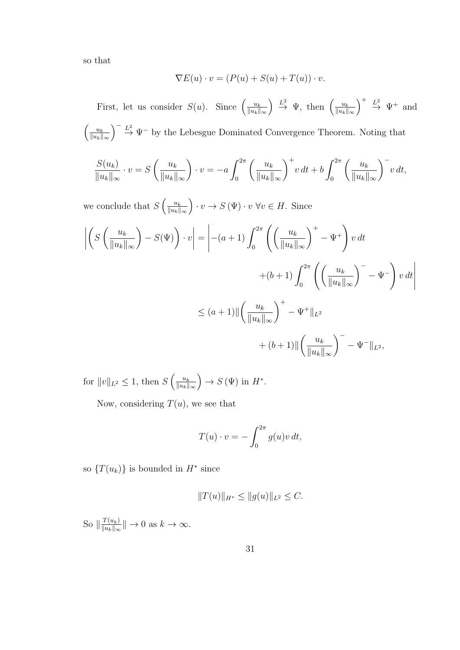so that

$$
\nabla E(u) \cdot v = (P(u) + S(u) + T(u)) \cdot v.
$$

First, let us consider  $S(u)$ . Since  $\left(\frac{u_k}{\|u_k\|}\right)$  $||u_k||_{\infty}$  $\left( \frac{L^2}{\|u_k\|}\right) \stackrel{L^2}{\rightarrow} \Psi$ , then  $\left( \frac{u_k}{\|u_k\|}\right)$  $||u_k||_{\infty}$  $\Big)^{+} \stackrel{L^2}{\rightarrow} \Psi^{+}$  and  $\left( \underline{u_k} \right)$  $||u_k||_{\infty}$  $\int_{0}^{\infty} \frac{L^2}{2} \Psi$  by the Lebesgue Dominated Convergence Theorem. Noting that

$$
\frac{S(u_k)}{\|u_k\|_{\infty}} \cdot v = S\left(\frac{u_k}{\|u_k\|_{\infty}}\right) \cdot v = -a \int_0^{2\pi} \left(\frac{u_k}{\|u_k\|_{\infty}}\right)^+ v dt + b \int_0^{2\pi} \left(\frac{u_k}{\|u_k\|_{\infty}}\right)^- v dt,
$$

we conclude that  $S\left(\frac{u_k}{\|u_k\|}\right)$  $||u_k||_{\infty}$  $\bigg\{ \cdot v \to S(\Psi) \cdot v \,\forall v \in H. \text{ Since}$ 

$$
\left| \left( S\left(\frac{u_k}{\|u_k\|_{\infty}}\right) - S(\Psi) \right) \cdot v \right| = \left| -(a+1) \int_0^{2\pi} \left( \left(\frac{u_k}{\|u_k\|_{\infty}}\right)^+ - \Psi^+ \right) v dt \right|
$$
  
 
$$
+ (b+1) \int_0^{2\pi} \left( \left(\frac{u_k}{\|u_k\|_{\infty}}\right)^- - \Psi^- \right) v dt \right|
$$
  
 
$$
\leq (a+1) \| \left(\frac{u_k}{\|u_k\|_{\infty}}\right)^+ - \Psi^+ \|_{L^2}
$$
  
 
$$
+ (b+1) \| \left(\frac{u_k}{\|u_k\|_{\infty}}\right)^- - \Psi^- \|_{L^2},
$$

for  $||v||_{L^2} \leq 1$ , then  $S\left(\frac{u_k}{||u_k||}\right)$  $||u_k||_{\infty}$  $\Big) \rightarrow S(\Psi)$  in  $H^*$ .

Now, considering  $T(u)$ , we see that

$$
T(u) \cdot v = -\int_0^{2\pi} g(u)v \, dt,
$$

so  $\{T(u_k)\}\$ is bounded in  $H^*$  since

$$
||T(u)||_{H^*} \le ||g(u)||_{L^2} \le C.
$$

So  $\|\frac{T(u_k)}{\|u_k\|}$  $\frac{T(u_k)}{\|u_k\|_{\infty}}\| \to 0 \text{ as } k \to \infty.$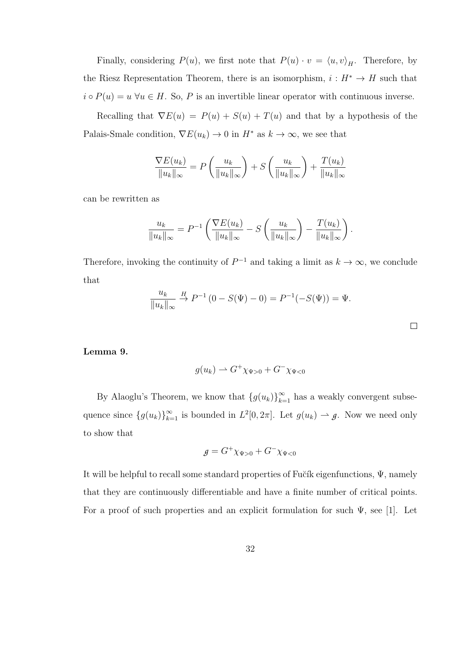Finally, considering  $P(u)$ , we first note that  $P(u) \cdot v = \langle u, v \rangle_H$ . Therefore, by the Riesz Representation Theorem, there is an isomorphism,  $i : H^* \to H$  such that  $i \circ P(u) = u \ \forall u \in H$ . So, P is an invertible linear operator with continuous inverse.

Recalling that  $\nabla E(u) = P(u) + S(u) + T(u)$  and that by a hypothesis of the Palais-Smale condition,  $\nabla E(u_k) \to 0$  in  $H^*$  as  $k \to \infty$ , we see that

$$
\frac{\nabla E(u_k)}{\|u_k\|_{\infty}} = P\left(\frac{u_k}{\|u_k\|_{\infty}}\right) + S\left(\frac{u_k}{\|u_k\|_{\infty}}\right) + \frac{T(u_k)}{\|u_k\|_{\infty}}
$$

can be rewritten as

$$
\frac{u_k}{\|u_k\|_{\infty}} = P^{-1} \left( \frac{\nabla E(u_k)}{\|u_k\|_{\infty}} - S \left( \frac{u_k}{\|u_k\|_{\infty}} \right) - \frac{T(u_k)}{\|u_k\|_{\infty}} \right).
$$

Therefore, invoking the continuity of  $P^{-1}$  and taking a limit as  $k \to \infty$ , we conclude that

$$
\frac{u_k}{\|u_k\|_{\infty}} \stackrel{H}{\to} P^{-1}(0 - S(\Psi) - 0) = P^{-1}(-S(\Psi)) = \Psi.
$$

Lemma 9.

$$
g(u_k) \rightharpoonup G^+\chi_{\Psi>0} + G^-\chi_{\Psi<0}
$$

By Alaoglu's Theorem, we know that  ${g(u_k)}_{k=1}^{\infty}$  has a weakly convergent subsequence since  $\{g(u_k)\}_{k=1}^{\infty}$  is bounded in  $L^2[0, 2\pi]$ . Let  $g(u_k) \to g$ . Now we need only to show that

$$
g = G^+ \chi_{\Psi > 0} + G^- \chi_{\Psi < 0}
$$

It will be helpful to recall some standard properties of Fu $\check{c}$ ik eigenfunctions,  $\Psi$ , namely that they are continuously differentiable and have a finite number of critical points. For a proof of such properties and an explicit formulation for such  $\Psi$ , see [1]. Let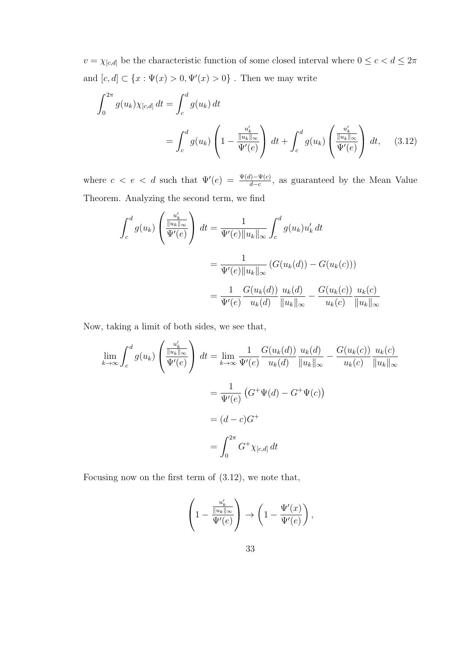$v=\chi_{[c,d]}$  be the characteristic function of some closed interval where  $0\leq c < d \leq 2\pi$ and  $[c, d] \subset \{x : \Psi(x) > 0, \Psi'(x) > 0\}$ . Then we may write

$$
\int_0^{2\pi} g(u_k) \chi_{[c,d]} dt = \int_c^d g(u_k) dt
$$
  
= 
$$
\int_c^d g(u_k) \left(1 - \frac{u'_k}{\Psi'(e)}\right) dt + \int_c^d g(u_k) \left(\frac{u'_k}{\Psi'(e)}\right) dt, \quad (3.12)
$$

where  $c < e < d$  such that  $\Psi'(e) = \frac{\Psi(d) - \Psi(c)}{d-c}$ , as guaranteed by the Mean Value Theorem. Analyzing the second term, we find

$$
\int_{c}^{d} g(u_{k}) \left( \frac{u'_{k}}{\Psi'(e)} \right) dt = \frac{1}{\Psi'(e) \|u_{k}\|_{\infty}} \int_{c}^{d} g(u_{k}) u'_{k} dt
$$

$$
= \frac{1}{\Psi'(e) \|u_{k}\|_{\infty}} (G(u_{k}(d)) - G(u_{k}(c)))
$$

$$
= \frac{1}{\Psi'(e)} \frac{G(u_{k}(d))}{u_{k}(d)} \frac{u_{k}(d)}{\|u_{k}\|_{\infty}} - \frac{G(u_{k}(c))}{u_{k}(c)} \frac{u_{k}(c)}{\|u_{k}\|_{\infty}}
$$

Now, taking a limit of both sides, we see that,

$$
\lim_{k \to \infty} \int_{c}^{d} g(u_{k}) \left( \frac{\frac{u'_{k}}{\|u_{k}\|_{\infty}}}{\Psi'(e)} \right) dt = \lim_{k \to \infty} \frac{1}{\Psi'(e)} \frac{G(u_{k}(d))}{u_{k}(d)} \frac{u_{k}(d)}{\|u_{k}\|_{\infty}} - \frac{G(u_{k}(c))}{u_{k}(c)} \frac{u_{k}(c)}{\|u_{k}\|_{\infty}}
$$

$$
= \frac{1}{\Psi'(e)} \left( G^{+} \Psi(d) - G^{+} \Psi(c) \right)
$$

$$
= (d - c)G^{+}
$$

$$
= \int_{0}^{2\pi} G^{+} \chi_{[c,d]} dt
$$

Focusing now on the first term of (3.12), we note that,

$$
\left(1 - \frac{\frac{u'_k}{\|u_k\|_{\infty}}}{\Psi'(e)}\right) \to \left(1 - \frac{\Psi'(x)}{\Psi'(e)}\right),
$$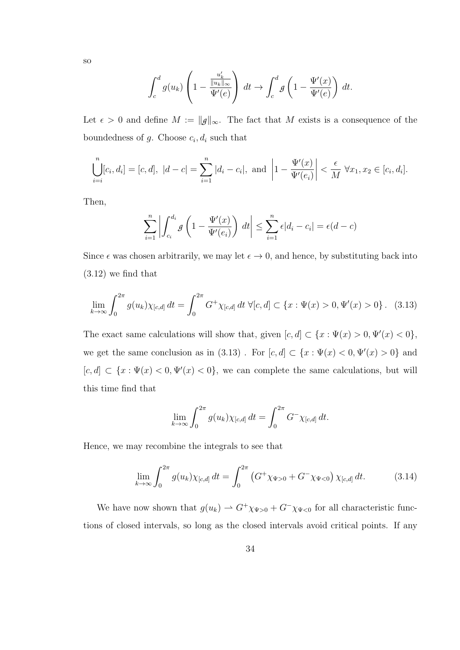$$
_{\rm SO}
$$

$$
\int_c^d g(u_k) \left(1 - \frac{u'_k}{\Psi'(e)}\right) dt \to \int_c^d g\left(1 - \frac{\Psi'(x)}{\Psi'(e)}\right) dt.
$$

Let  $\epsilon > 0$  and define  $M := ||g||_{\infty}$ . The fact that M exists is a consequence of the boundedness of  $g$ . Choose  $c_i, d_i$  such that

$$
\bigcup_{i=i}^{n} [c_i, d_i] = [c, d], \ |d - c| = \sum_{i=1}^{n} |d_i - c_i|, \text{ and } \left| 1 - \frac{\Psi'(x)}{\Psi'(e_i)} \right| < \frac{\epsilon}{M} \ \forall x_1, x_2 \in [c_i, d_i].
$$

Then,

$$
\sum_{i=1}^{n} \left| \int_{c_i}^{d_i} g\left(1 - \frac{\Psi'(x)}{\Psi'(e_i)}\right) dt \right| \le \sum_{i=1}^{n} \epsilon |d_i - c_i| = \epsilon(d - c)
$$

Since  $\epsilon$  was chosen arbitrarily, we may let  $\epsilon \to 0$ , and hence, by substituting back into (3.12) we find that

$$
\lim_{k \to \infty} \int_0^{2\pi} g(u_k) \chi_{[c,d]} \, dt = \int_0^{2\pi} G^+ \chi_{[c,d]} \, dt \, \forall [c,d] \subset \{x : \Psi(x) > 0, \Psi'(x) > 0\} \, . \tag{3.13}
$$

The exact same calculations will show that, given  $[c, d] \subset \{x : \Psi(x) > 0, \Psi'(x) < 0\},$ we get the same conclusion as in (3.13). For  $[c, d] \subset \{x : \Psi(x) < 0, \Psi'(x) > 0\}$  and  $[c, d] \subset \{x : \Psi(x) < 0, \Psi'(x) < 0\}$ , we can complete the same calculations, but will this time find that

$$
\lim_{k \to \infty} \int_0^{2\pi} g(u_k) \chi_{[c,d]} \, dt = \int_0^{2\pi} G^- \chi_{[c,d]} \, dt.
$$

Hence, we may recombine the integrals to see that

$$
\lim_{k \to \infty} \int_0^{2\pi} g(u_k) \chi_{[c,d]} \, dt = \int_0^{2\pi} \left( G^+ \chi_{\Psi > 0} + G^- \chi_{\Psi < 0} \right) \chi_{[c,d]} \, dt. \tag{3.14}
$$

We have now shown that  $g(u_k) \to G^+\chi_{\Psi>0} + G^-\chi_{\Psi<0}$  for all characteristic functions of closed intervals, so long as the closed intervals avoid critical points. If any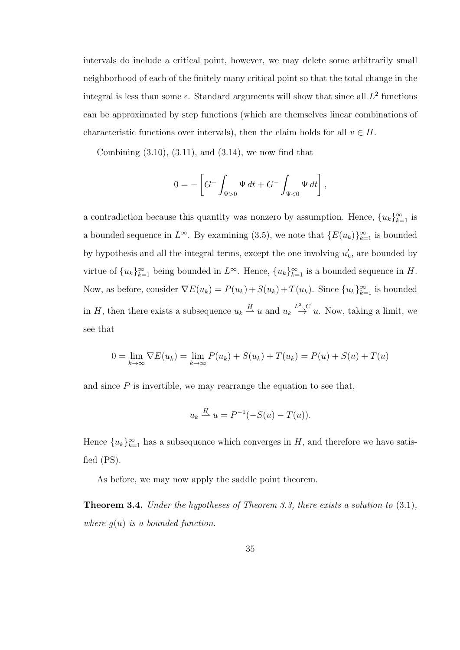intervals do include a critical point, however, we may delete some arbitrarily small neighborhood of each of the finitely many critical point so that the total change in the integral is less than some  $\epsilon$ . Standard arguments will show that since all  $L^2$  functions can be approximated by step functions (which are themselves linear combinations of characteristic functions over intervals), then the claim holds for all  $v \in H$ .

Combining  $(3.10), (3.11),$  and  $(3.14),$  we now find that

$$
0 = -\left[G^+ \int_{\Psi > 0} \Psi \, dt + G^- \int_{\Psi < 0} \Psi \, dt\right],
$$

a contradiction because this quantity was nonzero by assumption. Hence,  ${u_k}_{k=1}^{\infty}$  is a bounded sequence in  $L^{\infty}$ . By examining (3.5), we note that  $\{E(u_k)\}_{k=1}^{\infty}$  is bounded by hypothesis and all the integral terms, except the one involving  $u'_k$ , are bounded by virtue of  ${u_k}_{k=1}^{\infty}$  being bounded in  $L^{\infty}$ . Hence,  ${u_k}_{k=1}^{\infty}$  is a bounded sequence in H. Now, as before, consider  $\nabla E(u_k) = P(u_k) + S(u_k) + T(u_k)$ . Since  $\{u_k\}_{k=1}^{\infty}$  is bounded in H, then there exists a subsequence  $u_k \stackrel{H}{\rightarrow} u$  and  $u_k \stackrel{L^2, C}{\rightarrow} u$ . Now, taking a limit, we see that

$$
0 = \lim_{k \to \infty} \nabla E(u_k) = \lim_{k \to \infty} P(u_k) + S(u_k) + T(u_k) = P(u) + S(u) + T(u)
$$

and since  $P$  is invertible, we may rearrange the equation to see that,

$$
u_k \stackrel{H}{\rightharpoonup} u = P^{-1}(-S(u) - T(u)).
$$

Hence  ${u_k}_{k=1}^{\infty}$  has a subsequence which converges in H, and therefore we have satisfied (PS).

As before, we may now apply the saddle point theorem.

Theorem 3.4. Under the hypotheses of Theorem 3.3, there exists a solution to (3.1), where  $q(u)$  is a bounded function.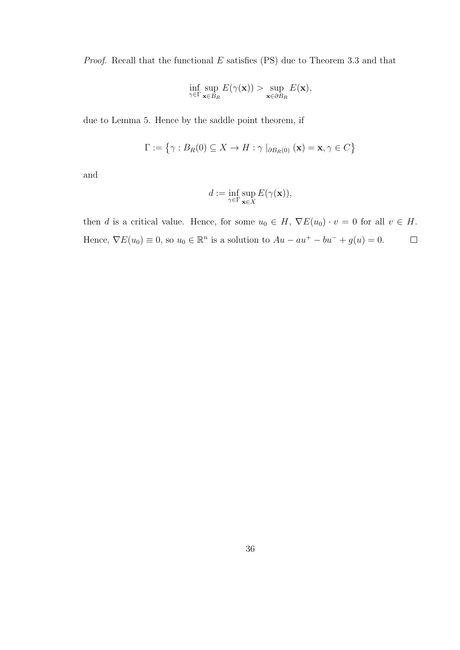*Proof.* Recall that the functional  $E$  satisfies (PS) due to Theorem 3.3 and that

$$
\inf_{\gamma \in \Gamma} \sup_{\mathbf{x} \in B_R} E(\gamma(\mathbf{x})) > \sup_{\mathbf{x} \in \partial B_R} E(\mathbf{x}),
$$

due to Lemma 5. Hence by the saddle point theorem, if

$$
\Gamma := \{ \gamma : B_R(0) \subseteq X \to H : \gamma \mid_{\partial B_R(0)} (\mathbf{x}) = \mathbf{x}, \gamma \in C \}
$$

and

$$
d:=\inf_{\gamma\in\Gamma}\sup_{{\bf x}\in X}E(\gamma({\bf x})),
$$

then d is a critical value. Hence, for some  $u_0 \in H$ ,  $\nabla E(u_0) \cdot v = 0$  for all  $v \in H$ . Hence,  $\nabla E(u_0) \equiv 0$ , so  $u_0 \in \mathbb{R}^n$  is a solution to  $Au - au^+ - bu^- + g(u) = 0$ .  $\Box$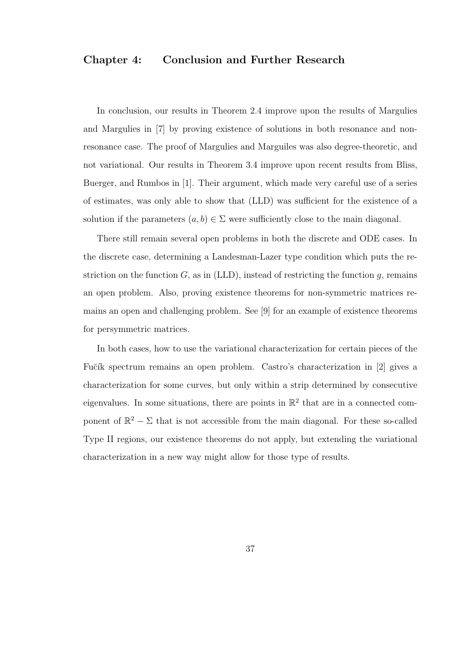## Chapter 4: Conclusion and Further Research

In conclusion, our results in Theorem 2.4 improve upon the results of Margulies and Margulies in [7] by proving existence of solutions in both resonance and nonresonance case. The proof of Margulies and Marguiles was also degree-theoretic, and not variational. Our results in Theorem 3.4 improve upon recent results from Bliss, Buerger, and Rumbos in [1]. Their argument, which made very careful use of a series of estimates, was only able to show that (LLD) was sufficient for the existence of a solution if the parameters  $(a, b) \in \Sigma$  were sufficiently close to the main diagonal.

There still remain several open problems in both the discrete and ODE cases. In the discrete case, determining a Landesman-Lazer type condition which puts the restriction on the function  $G$ , as in (LLD), instead of restricting the function  $q$ , remains an open problem. Also, proving existence theorems for non-symmetric matrices remains an open and challenging problem. See [9] for an example of existence theorems for persymmetric matrices.

In both cases, how to use the variational characterization for certain pieces of the Fučík spectrum remains an open problem. Castro's characterization in [2] gives a characterization for some curves, but only within a strip determined by consecutive eigenvalues. In some situations, there are points in  $\mathbb{R}^2$  that are in a connected component of  $\mathbb{R}^2 - \Sigma$  that is not accessible from the main diagonal. For these so-called Type II regions, our existence theorems do not apply, but extending the variational characterization in a new way might allow for those type of results.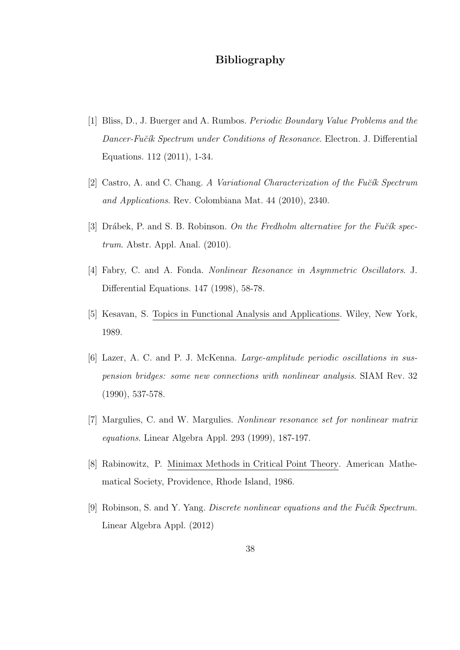# Bibliography

- [1] Bliss, D., J. Buerger and A. Rumbos. Periodic Boundary Value Problems and the Dancer-Fučík Spectrum under Conditions of Resonance. Electron. J. Differential Equations. 112 (2011), 1-34.
- [2] Castro, A. and C. Chang. A Variational Characterization of the Fučík Spectrum and Applications. Rev. Colombiana Mat. 44 (2010), 2340.
- [3] Drábek, P. and S. B. Robinson. On the Fredholm alternative for the Fučík spectrum. Abstr. Appl. Anal. (2010).
- [4] Fabry, C. and A. Fonda. Nonlinear Resonance in Asymmetric Oscillators. J. Differential Equations. 147 (1998), 58-78.
- [5] Kesavan, S. Topics in Functional Analysis and Applications. Wiley, New York, 1989.
- [6] Lazer, A. C. and P. J. McKenna. Large-amplitude periodic oscillations in suspension bridges: some new connections with nonlinear analysis. SIAM Rev. 32 (1990), 537-578.
- [7] Margulies, C. and W. Margulies. Nonlinear resonance set for nonlinear matrix equations. Linear Algebra Appl. 293 (1999), 187-197.
- [8] Rabinowitz, P. Minimax Methods in Critical Point Theory. American Mathematical Society, Providence, Rhode Island, 1986.
- [9] Robinson, S. and Y. Yang. Discrete nonlinear equations and the Fučík Spectrum. Linear Algebra Appl. (2012)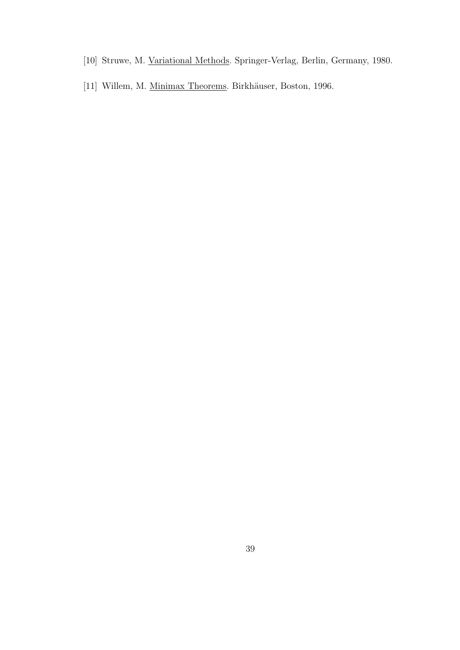- [10] Struwe, M. Variational Methods. Springer-Verlag, Berlin, Germany, 1980.
- [11] Willem, M. <u>Minimax Theorems</u>. Birkhäuser, Boston, 1996.